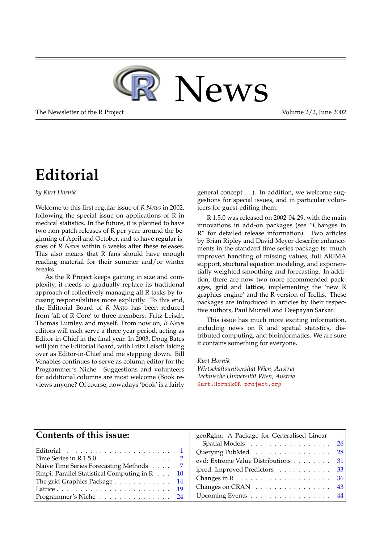

The Newsletter of the R Project **Volume 2/2, June 2002** 

# **Editorial**

#### <span id="page-0-0"></span>*by Kurt Hornik*

Welcome to this first regular issue of *R News* in 2002, following the special issue on applications of R in medical statistics. In the future, it is planned to have two non-patch releases of R per year around the beginning of April and October, and to have regular issues of *R News* within 6 weeks after these releases. This also means that R fans should have enough reading material for their summer and/or winter breaks.

As the R Project keeps gaining in size and complexity, it needs to gradually replace its traditional approach of collectively managing all R tasks by focusing responsibilities more explicitly. To this end, the Editorial Board of *R News* has been reduced from 'all of R Core' to three members: Fritz Leisch, Thomas Lumley, and myself. From now on, *R News* editors will each serve a three year period, acting as Editor-in-Chief in the final year. In 2003, Doug Bates will join the Editorial Board, with Fritz Leisch taking over as Editor-in-Chief and me stepping down. Bill Venables continues to serve as column editor for the Programmer's Niche. Suggestions and volunteers for additional columns are most welcome (Book reviews anyone? Of course, nowadays 'book' is a fairly general concept ...). In addition, we welcome suggestions for special issues, and in particular volunteers for guest-editing them.

R 1.5.0 was released on 2002-04-29, with the main innovations in add-on packages (see "Changes in R" for detailed release information). Two articles by Brian Ripley and David Meyer describe enhancements in the standard time series package **ts**: much improved handling of missing values, full ARIMA support, stuctural equation modeling, and exponentially weighted smoothing and forecasting. In addition, there are now two more recommended packages, **grid** and **lattice**, implementing the 'new R graphics engine' and the R version of Trellis. These packages are introduced in articles by their respective authors, Paul Murrell and Deepayan Sarkar.

This issue has much more exciting information, including news on R and spatial statistics, distributed computing, and bioinformatics. We are sure it contains something for everyone.

*Kurt Hornik Wirtschaftsuniversität Wien, Austria Technische Universität Wien, Austria* [Kurt.Hornik@R-project.org](mailto:Kurt.Hornik@R-project.org)

#### **Contents of this issue:**

| Naive Time Series Forecasting Methods 7                    |  |
|------------------------------------------------------------|--|
| Rmpi: Parallel Statistical Computing in R 10               |  |
| The grid Graphics Package 14                               |  |
|                                                            |  |
| Programmer's Niche $\ldots \ldots \ldots \ldots \ldots$ 24 |  |

| geoRglm: A Package for Generalised Linear |     |
|-------------------------------------------|-----|
| Spatial Models 26                         |     |
| Querying PubMed                           | -28 |
| evd: Extreme Value Distributions          | -31 |
| ipred: Improved Predictors 33             |     |
|                                           | 36  |
| Changes on CRAN 43                        |     |
| Upcoming Events 44                        |     |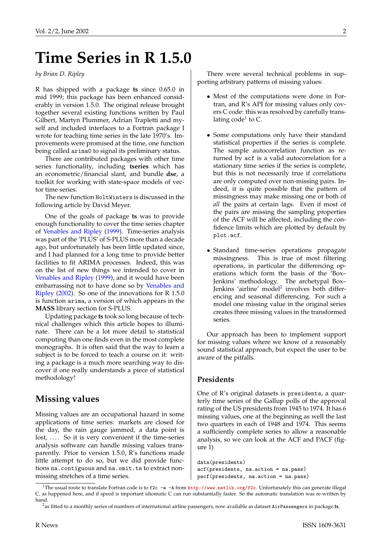# <span id="page-1-3"></span>**Time Series in R 1.5.0**

<span id="page-1-0"></span>*by Brian D. Ripley*

R has shipped with a package **ts** since 0.65.0 in mid 1999; this package has been enhanced considerably in version 1.5.0. The original release brought together several existing functions written by Paul Gilbert, Martyn Plummer, Adrian Trapletti and myself and included interfaces to a Fortran package I wrote for teaching time series in the late 1970's. Improvements were promised at the time, one function being called arima0 to signal its preliminary status.

There are contributed packages with other time series functionality, including **tseries** which has an econometric/financial slant, and bundle **dse**, a toolkit for working with state-space models of vector time series.

The new function HoltWinters is discussed in the following article by David Meyer.

One of the goals of package **ts** was to provide enough functionality to cover the time series chapter of [Venables and Ripley](#page-6-1) [\(1999\)](#page-6-1). Time-series analysis was part of the 'PLUS' of S-PLUS more than a decade ago, but unfortunately has been little updated since, and I had planned for a long time to provide better facilities to fit ARIMA processes. Indeed, this was on the list of new things we intended to cover in [Venables and Ripley](#page-6-1) [\(1999\)](#page-6-1), and it would have been embarrassing not to have done so by [Venables and](#page-6-2) [Ripley](#page-6-2) [\(2002\)](#page-6-2). So one of the innovations for R 1.5.0 is function arima, a version of which appears in the **MASS** library section for S-PLUS.

Updating package **ts** took so long because of technical challenges which this article hopes to illuminate. There can be a lot more detail to statistical computing than one finds even in the most complete monographs. It is often said that the way to learn a subject is to be forced to teach a course on it: writing a package is a much more searching way to discover if one really understands a piece of statistical methodology!

### **Missing values**

Missing values are an occupational hazard in some applications of time series: markets are closed for the day, the rain gauge jammed, a data point is lost, .... So it is very convenient if the time-series analysis software can handle missing values transparently. Prior to version 1.5.0, R's functions made little attempt to do so, but we did provide functions na. contiguous and na. omit.ts to extract nonmissing stretches of a time series.

There were several technical problems in supporting arbitrary patterns of missing values:

- Most of the computations were done in Fortran, and R's API for missing values only covers C code: this was resolved by carefully trans-lating code<sup>[1](#page-1-1)</sup> to C.
- Some computations only have their standard statistical properties if the series is complete. The sample autocorrelation function as returned by acf is a valid autocorrelation for a stationary time series if the series is complete, but this is not necessarily true if correlations are only computed over non-missing pairs. Indeed, it is quite possible that the pattern of missingness may make missing one or both of *all* the pairs at certain lags. Even if most of the pairs are missing the sampling properties of the ACF will be affected, including the confidence limits which are plotted by default by plot.acf.
- Standard time-series operations propagate missingness. This is true of most filtering operations, in particular the differencing operations which form the basis of the 'Box– Jenkins' methodology. The archetypal Box– Jenkins 'airline' model<sup>[2](#page-1-2)</sup> involves both differencing and seasonal differencing. For such a model one missing value in the original series creates three missing values in the transformed series.

Our approach has been to implement support for missing values where we know of a reasonably sound statistical approach, but expect the user to be aware of the pitfalls.

#### **Presidents**

One of R's original datasets is presidents, a quarterly time series of the Gallup polls of the approval rating of the US presidents from 1945 to 1974. It has 6 missing values, one at the beginning as well the last two quarters in each of 1948 and 1974. This seems a sufficiently complete series to allow a reasonable analysis, so we can look at the ACF and PACF (figure 1)

data(presidents) acf(presidents, na.action = na.pass) pacf(presidents, na.action = na.pass)

<span id="page-1-1"></span><sup>&</sup>lt;sup>1</sup>The usual route to translate Fortran code is to f2c  $-a$  -A from <http://www.netlib.org/f2c>. Unfortunately this can generate illegal C, as happened here, and if speed is important idiomatic C can run substantially faster. So the automatic translation was re-written by hand.

<span id="page-1-2"></span><sup>2</sup>as fitted to a monthly series of numbers of international airline passengers, now available as dataset AirPassengers in package **ts**.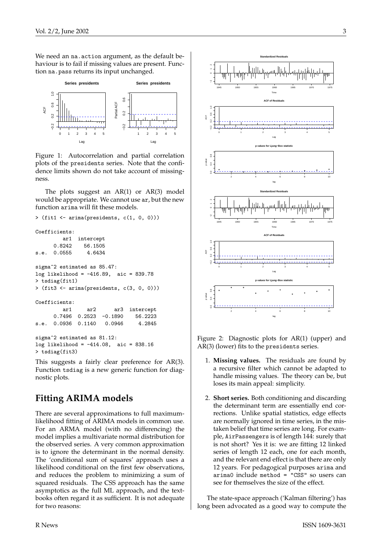We need an na. action argument, as the default behaviour is to fail if missing values are present. Function na.pass returns its input unchanged.



Figure 1: Autocorrelation and partial correlation plots of the presidents series. Note that the confidence limits shown do not take account of missingness.

The plots suggest an  $AR(1)$  or  $AR(3)$  model would be appropriate. We cannot use ar, but the new function arima will fit these models.

```
> (fit1 <- arima(presidents, c(1, 0, 0)))
Coefficients:
        ar1 intercept
     0.8242 56.1505
s.e. 0.0555 4.6434
sigma^2 estimated as 85.47:
log likelihood = -416.89, aic = 839.78
> tsdiag(fit1)
> (fit3 <- arima(presidents, c(3, 0, 0)))
Coefficients:
        ar1 ar2 ar3 intercept
     0.7496 0.2523 -0.1890 56.2223
s.e. 0.0936 0.1140 0.0946 4.2845
sigma^2 estimated as 81.12:
log likelihood = -414.08, aic = 838.16
```
This suggests a fairly clear preference for AR(3). Function tsdiag is a new generic function for diagnostic plots.

# **Fitting ARIMA models**

> tsdiag(fit3)

There are several approximations to full maximumlikelihood fitting of ARIMA models in common use. For an ARMA model (with no differencing) the model implies a multivariate normal distribution for the observed series. A very common approximation is to ignore the determinant in the normal density. The 'conditional sum of squares' approach uses a likelihood conditional on the first few observations, and reduces the problem to minimizing a sum of squared residuals. The CSS approach has the same asymptotics as the full ML approach, and the textbooks often regard it as sufficient. It is not adequate for two reasons:



Figure 2: Diagnostic plots for AR(1) (upper) and AR(3) (lower) fits to the presidents series.

- 1. **Missing values.** The residuals are found by a recursive filter which cannot be adapted to handle missing values. The theory can be, but loses its main appeal: simplicity.
- 2. **Short series.** Both conditioning and discarding the determinant term are essentially end corrections. Unlike spatial statistics, edge effects are normally ignored in time series, in the mistaken belief that time series are long. For example, AirPassengers is of length 144: surely that is not short? Yes it is: we are fitting 12 linked series of length 12 each, one for each month, and the relevant end effect is that there are only 12 years. For pedagogical purposes arima and arima0 include method = "CSS" so users can see for themselves the size of the effect.

The state-space approach ('Kalman filtering') has long been advocated as a good way to compute the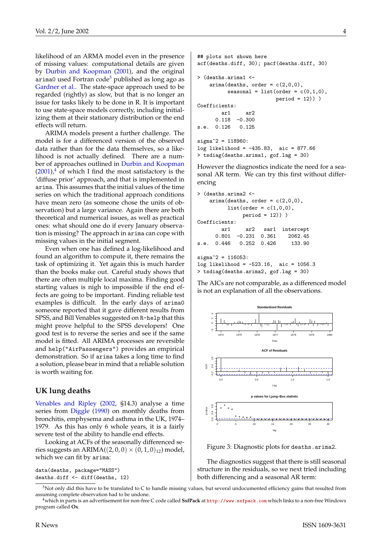<span id="page-3-2"></span>likelihood of an ARMA model even in the presence of missing values: computational details are given by [Durbin and Koopman](#page-6-3) [\(2001\)](#page-6-3), and the original arima0 used Fortran code<sup>[3](#page-3-0)</sup> published as long ago as [Gardner et al..](#page-6-4) The state-space approach used to be regarded (rightly) as slow, but that is no longer an issue for tasks likely to be done in R. It is important to use state-space models correctly, including initializing them at their stationary distribution or the end effects will return.

ARIMA models present a further challenge. The model is for a differenced version of the observed data rather than for the data themselves, so a likelihood is not actually defined. There are a number of approaches outlined in [Durbin and Koopman](#page-6-3)  $(2001)<sup>4</sup>$  $(2001)<sup>4</sup>$  $(2001)<sup>4</sup>$  $(2001)<sup>4</sup>$  of which I find the most satisfactory is the 'diffuse prior' approach, and that is implemented in arima. This assumes that the initial values of the time series on which the traditional approach conditions have mean zero (as someone chose the units of observation) but a large variance. Again there are both theoretical and numerical issues, as well as practical ones: what should one do if every January observation is missing? The approach in arima can cope with missing values in the initial segment.

Even when one has defined a log-likelihood and found an algorithm to compute it, there remains the task of optimizing it. Yet again this is much harder than the books make out. Careful study shows that there are often multiple local maxima. Finding good starting values is nigh to impossible if the end effects are going to be important. Finding reliable test examples is difficult. In the early days of arima0 someone reported that it gave different results from SPSS, and Bill Venables suggested on R-help that this might prove helpful to the SPSS developers! One good test is to reverse the series and see if the same model is fitted. All ARIMA processes are reversible and help("AirPassengers") provides an empirical demonstration. So if arima takes a long time to find a solution, please bear in mind that a reliable solution is worth waiting for.

#### **UK lung deaths**

[Venables and Ripley](#page-6-2) [\(2002,](#page-6-2) §14.3) analyse a time series from [Diggle](#page-6-5) [\(1990\)](#page-6-5) on monthly deaths from bronchitis, emphysema and asthma in the UK, 1974– 1979. As this has only 6 whole years, it is a fairly severe test of the ability to handle end effects.

Looking at ACFs of the seasonally differenced series suggests an ARIMA $((2,0,0) \times (0,1,0)_{12})$  model, which we can fit by arima:

data(deaths, package="MASS") deaths.diff <- diff(deaths, 12)

```
## plots not shown here
acf(deaths.diff, 30); pacf(deaths.diff, 30)
> (deaths.arima1 <-
    \text{arima}(\text{deaths}, \text{order} = c(2,0,0),seasonal = list(order = c(0,1,0),
                           period = 12))
Coefficients:
        ar1 ar2
      0.118 - 0.300s.e. 0.126 0.125
signa^2 = 118960:
log likelihood = -435.83, aic = 877.66
> tsdiag(deaths.arima1, gof.lag = 30)
```
However the diagnostics indicate the need for a seasonal AR term. We can try this first without differencing

```
> (deaths.arima2 <-
    \text{arima}(\text{deaths}, \text{order} = c(2,0,0),list(order = c(1,0,0)),
               period = 12)) )
Coefficients:
        ar1 ar2 sar1 intercept
      0.801 -0.231 0.361 2062.45
s.e. 0.446 0.252 0.426 133.90
signa^2 = 116053:
log likelihood = -523.16, aic = 1056.3
> tsdiag(deaths.arima2, gof.lag = 30)
```
The AICs are not comparable, as a differenced model is not an explanation of all the observations.



Figure 3: Diagnostic plots for deaths.arima2.

The diagnostics suggest that there is still seasonal structure in the residuals, so we next tried including both differencing and a seasonal AR term:

<span id="page-3-0"></span> $3$ Not only did this have to be translated to C to handle missing values, but several undocumented efficiency gains that resulted from assuming complete observation had to be undone.

<span id="page-3-1"></span><sup>4</sup>which in parts is an advertisement for non-free C code called **SsfPack** at <http://www.ssfpack.com> which links to a non-free Windows program called **Ox**.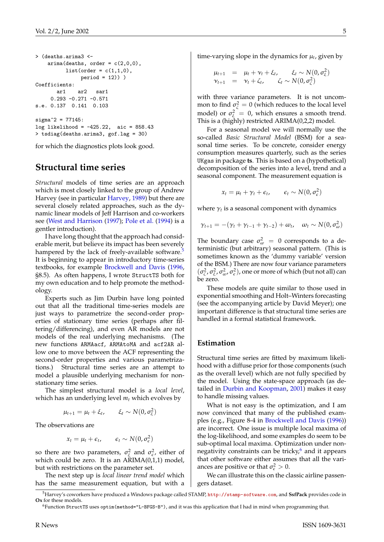```
> (deaths.arima3 <-
    arima(deaths, order = c(2.0.0).
         list(order = c(1,1,0)),
              period = 12)) )
Coefficients:
      ar1 ar2 sar1
    0.293 -0.271 -0.571
s.e. 0.137 0.141 0.103
sigma^2 = 77145:
log likelihood = -425.22, aic = 858.43
> tsdiag(deaths.arima3, gof.lag = 30)
```
for which the diagnostics plots look good.

#### **Structural time series**

*Structural* models of time series are an approach which is most closely linked to the group of Andrew Harvey (see in particular [Harvey,](#page-6-6) [1989\)](#page-6-6) but there are several closely related approaches, such as the dynamic linear models of Jeff Harrison and co-workers see [\(West and Harrison](#page-6-7) [\(1997\)](#page-6-7); [Pole et al.](#page-6-8) [\(1994\)](#page-6-8) is a gentler introduction).

I have long thought that the approach had considerable merit, but believe its impact has been severely hampered by the lack of freely-available software.<sup>[5](#page-4-0)</sup> It is beginning to appear in introductory time-series textbooks, for example [Brockwell and Davis](#page-6-9) [\(1996,](#page-6-9) §8.5). As often happens, I wrote StructTS both for my own education and to help promote the methodology.

Experts such as Jim Durbin have long pointed out that all the traditional time-series models are just ways to parametrize the second-order properties of stationary time series (perhaps after filtering/differencing), and even AR models are not models of the real underlying mechanisms. (The new functions ARMAacf, ARMAtoMA and acf2AR allow one to move between the ACF representing the second-order properties and various parametrizations.) Structural time series are an attempt to model a plausible underlying mechanism for nonstationary time series.

The simplest structural model is a *local level*, which has an underlying level  $m_t$  which evolves by

 $\mu_{t+1} = \mu_t + \xi_t, \qquad \xi_t \sim N(0, \sigma_{\xi}^2)$ 

The observations are

$$
x_t = \mu_t + \epsilon_t, \qquad \epsilon_t \sim N(0, \sigma_{\epsilon}^2)
$$

so there are two parameters,  $\sigma_{\xi}^2$  and  $\sigma_{\epsilon}^2$ , either of which could be zero. It is an  $ARIMA(0,1,1)$  model, but with restrictions on the parameter set.

The next step up is *local linear trend model* which has the same measurement equation, but with a time-varying slope in the dynamics for  $\mu_t$ , given by

$$
\begin{array}{rcl}\n\mu_{t+1} & = & \mu_t + \nu_t + \xi_t, \quad \xi_t \sim N(0, \sigma_{\xi}^2) \\
\nu_{t+1} & = & \nu_t + \zeta_t, \quad \zeta_t \sim N(0, \sigma_{\zeta}^2)\n\end{array}
$$

with three variance parameters. It is not uncommon to find  $\sigma_{\zeta}^2 = 0$  (which reduces to the local level model) or  $\sigma_{\xi}^2 = 0$ , which ensures a smooth trend. This is a (highly) restricted ARIMA(0,2,2) model.

For a seasonal model we will normally use the so-called *Basic Structural Model* (BSM) for a seasonal time series. To be concrete, consider energy consumption measures quarterly, such as the series UKgas in package **ts**. This is based on a (hypothetical) decomposition of the series into a level, trend and a seasonal component. The measurement equation is

$$
x_t = \mu_t + \gamma_t + \epsilon_t, \qquad \epsilon_t \sim N(0, \sigma_{\epsilon}^2)
$$

where  $\gamma_t$  is a seasonal component with dynamics

$$
\gamma_{t+1} = -(\gamma_t + \gamma_{t-1} + \gamma_{t-2}) + \omega_t, \quad \omega_t \sim N(0, \sigma_{\omega}^2)
$$

The boundary case  $\sigma_{\omega}^2 = 0$  corresponds to a deterministic (but arbitrary) seasonal pattern. (This is sometimes known as the 'dummy variable' version of the BSM.) There are now four variance parameters  $(\sigma_{\xi}^2, \sigma_{\xi}^2, \sigma_{\omega}^2, \sigma_{\epsilon}^2)$ , one or more of which (but not all) can be zero.

These models are quite similar to those used in exponential smoothing and Holt–Winters forecasting (see the accompanying article by David Meyer); one important difference is that structural time series are handled in a formal statistical framework.

#### **Estimation**

Structural time series are fitted by maximum likelihood with a diffuse prior for those components (such as the overall level) which are not fully specified by the model. Using the state-space approach (as detailed in [Durbin and Koopman,](#page-6-3) [2001\)](#page-6-3) makes it easy to handle missing values.

What is not easy is the optimization, and I am now convinced that many of the published examples (e.g., Figure 8-4 in [Brockwell and Davis](#page-6-9) [\(1996\)](#page-6-9)) are incorrect. One issue is multiple local maxima of the log-likelihood, and some examples do seem to be sub-optimal local maxima. Optimization under nonnegativity constraints can be tricky, $6$  and it appears that other software either assumes that all the variances are positive or that  $\sigma_{\epsilon}^2 > 0$ .

We can illustrate this on the classic airline passengers dataset.

<span id="page-4-0"></span><sup>5</sup>Harvey's coworkers have produced a Windows package called STAMP, <http://stamp-software.com>, and **SsfPack** provides code in **Ox** for these models.

<span id="page-4-1"></span><sup>6</sup>Function StructTS uses optim(method="L-BFGS-B"), and it was this application that I had in mind when programming that.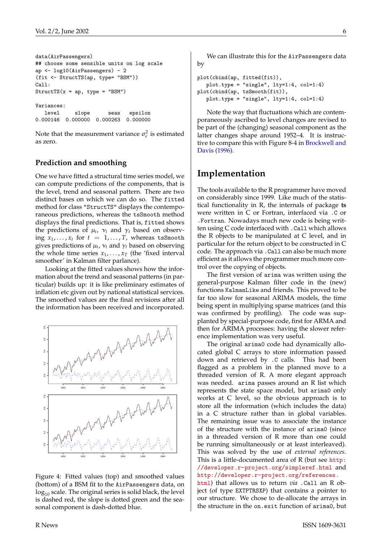```
data(AirPassengers)
## choose some sensible units on log scale
ap <- log10(AirPassengers) - 2
(fit <- StructTS(ap, type= "BSM"))
Call:
StructTS(x = ap, type = "BSM")Variances:
  level slope seas epsilon
```
0.000146 0.000000 0.000263 0.000000

Note that the measurement variance  $\sigma_{\epsilon}^2$  is estimated as zero.

#### **Prediction and smoothing**

One we have fitted a structural time series model, we can compute predictions of the components, that is the level, trend and seasonal pattern. There are two distinct bases on which we can do so. The fitted method for class "StructTS" displays the contemporaneous predictions, whereas the tsSmooth method displays the final predictions. That is, fitted shows the predictions of  $\mu_t$ ,  $\nu_t$  and  $\gamma_t$  based on observing  $x_1, \ldots, x_t$  for  $t = 1, \ldots, T$ , whereas tsSmooth gives predictions of  $\mu_t$ ,  $\nu_t$  and  $\gamma_t$  based on observing the whole time series  $x_1, \ldots, x_T$  (the 'fixed interval smoother' in Kalman filter parlance).

Looking at the fitted values shows how the information about the trend and seasonal patterns (in particular) builds up: it is like preliminary estimates of inflation etc given out by national statistical services. The smoothed values are the final revisions after all the information has been received and incorporated.



Figure 4: Fitted values (top) and smoothed values (bottom) of a BSM fit to the AirPassengers data, on  $log_{10}$  scale. The original series is solid black, the level is dashed red, the slope is dotted green and the seasonal component is dash-dotted blue.

We can illustrate this for the AirPassengers data by

```
plot(cbind(ap, fitted(fit)),
  plot.type = "single", lty=1:4, col=1:4)
plot(cbind(ap, tsSmooth(fit)),
   plot-type = "single", lty=1:4, col=1:4)
```
Note the way that fluctuations which are contemporaneously ascribed to level changes are revised to be part of the (changing) seasonal component as the latter changes shape around 1952–4. It is instructive to compare this with Figure 8-4 in [Brockwell and](#page-6-9) [Davis](#page-6-9) [\(1996\)](#page-6-9).

### **Implementation**

The tools available to the R programmer have moved on considerably since 1999. Like much of the statistical functionality in R, the internals of package **ts** were written in C or Fortran, interfaced via .C or .Fortran. Nowadays much new code is being written using C code interfaced with .Call which allows the R objects to be manipulated at C level, and in particular for the return object to be constructed in C code. The approach via .Call can also be much more efficient as it allows the programmer much more control over the copying of objects.

The first version of arima was written using the general-purpose Kalman filter code in the (new) functions KalmanLike and friends. This proved to be far too slow for seasonal ARIMA models, the time being spent in multiplying sparse matrices (and this was confirmed by profiling). The code was supplanted by special-purpose code, first for ARMA and then for ARIMA processes: having the slower reference implementation was very useful.

The original arima0 code had dynamically allocated global C arrays to store information passed down and retrieved by .C calls. This had been flagged as a problem in the planned move to a threaded version of R. A more elegant approach was needed. arima passes around an R list which represents the state space model, but arima0 only works at C level, so the obvious approach is to store all the information (which includes the data) in a C structure rather than in global variables. The remaining issue was to associate the instance of the structure with the instance of arima0 (since in a threaded version of R more than one could be running simultaneously or at least interleaved). This was solved by the use of *external references*. This is a little-documented area of R (but see [http:](http://developer.r-project.org/simpleref.html) [//developer.r-project.org/simpleref.html](http://developer.r-project.org/simpleref.html) and [http://developer.r-project.org/references.](http://developer.r-project.org/references.html) [html](http://developer.r-project.org/references.html)) that allows us to return *via* .Call an R ob-

ject (of type EXTPTRSXP) that contains a pointer to our structure. We chose to de-allocate the arrays in the structure in the on.exit function of arima0, but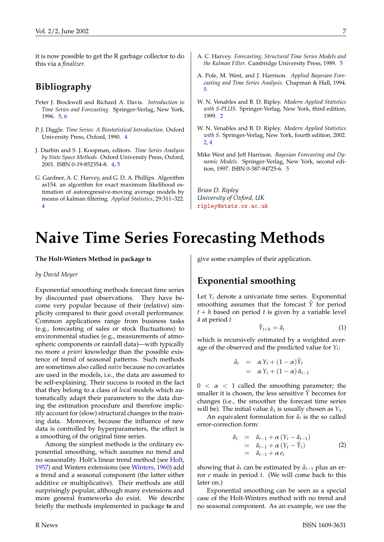<span id="page-6-12"></span>it is now possible to get the R garbage collector to do this via a *finalizer*.

### **Bibliography**

- <span id="page-6-9"></span>Peter J. Brockwell and Richard A. Davis. *Introduction to Time Series and Forecasting*. Springer-Verlag, New York, 1996. [5,](#page-4-2) [6](#page-5-0)
- <span id="page-6-5"></span>P. J. Diggle. *Time Series: A Biostatistical Introduction*. Oxford University Press, Oxford, 1990. [4](#page-3-2)
- <span id="page-6-3"></span>J. Durbin and S. J. Koopman, editors. *Time Series Analysis by State Space Methods*. Oxford University Press, Oxford, 2001. ISBN 0-19-852354-8. [4,](#page-3-2) [5](#page-4-2)
- <span id="page-6-4"></span>G. Gardner, A. C. Harvey, and G. D. A. Phillips. Algorithm as154. an algorithm for exact maximum likelihood estimation of autoregressive-moving average models by means of kalman filtering. *Applied Statistics*, 29:311–322. [4](#page-3-2)
- <span id="page-6-6"></span>A. C. Harvey. *Forecasting, Structural Time Series Models and the Kalman Filter*. Cambridge University Press, 1989. [5](#page-4-2)
- <span id="page-6-8"></span>A. Pole, M. West, and J. Harrison. *Applied Bayesian Forecasting and Time Series Analysis*. Chapman & Hall, 1994. [5](#page-4-2)
- <span id="page-6-1"></span>W. N. Venables and B. D. Ripley. *Modern Applied Statistics with S-PLUS*. Springer-Verlag, New York, third edition, 1999. [2](#page-1-3)
- <span id="page-6-2"></span>W. N. Venables and B. D. Ripley. *Modern Applied Statistics with S*. Springer-Verlag, New York, fourth edition, 2002. [2,](#page-1-3) [4](#page-3-2)
- <span id="page-6-7"></span>Mike West and Jeff Harrison. *Bayesian Forecasting and Dynamic Models*. Springer-Verlag, New York, second edition, 1997. ISBN 0-387-94725-6. [5](#page-4-2)

*Brian D. Ripley University of Oxford, UK* [ripley@stats.ox.ac.uk](mailto:ripley@stats.ox.ac.uk)

# **Naive Time Series Forecasting Methods**

#### <span id="page-6-0"></span>**The Holt-Winters Method in package ts**

#### *by David Meyer*

Exponential smoothing methods forecast time series by discounted past observations. They have become very popular because of their (relative) simplicity compared to their good overall performance. Common applications range from business tasks (e.g., forecasting of sales or stock fluctuations) to environmental studies (e.g., measurements of atmospheric components or rainfall data)—with typically no more *a priori* knowledge than the possible existence of trend of seasonal patterns. Such methods are sometimes also called *naive* because no covariates are used in the models, i.e., the data are assumed to be self-explaining. Their success is rooted in the fact that they belong to a class of *local* models which automatically adapt their parameters to the data during the estimation procedure and therefore implicitly account for (slow) structural changes in the training data. Moreover, because the influence of new data is controlled by hyperparameters, the effect is a smoothing of the original time series.

Among the simplest methods is the ordinary exponential smoothing, which assumes no trend and no seasonality. Holt's linear trend method (see [Holt,](#page-9-1) [1957\)](#page-9-1) and Winters extensions (see [Winters,](#page-9-2) [1960\)](#page-9-2) add a trend and a seasonal component (the latter either additive or multiplicative). Their methods are still surprisingly popular, although many extensions and more general frameworks do exist. We describe briefly the methods implemented in package **ts** and

give some examples of their application.

#### **Exponential smoothing**

Let  $Y_t$  denote a univariate time series. Exponential smoothing assumes that the forecast *Y*ˆ for period  $t + h$  based on period  $t$  is given by a variable level *a*ˆ at period *t*

<span id="page-6-11"></span>
$$
\hat{Y}_{t+h} = \hat{a}_t \tag{1}
$$

which is recursively estimated by a weighted average of the observed and the predicted value for *Y<sup>t</sup>* :

$$
\hat{a}_t = \alpha Y_t + (1 - \alpha) \hat{Y}_t \n= \alpha Y_t + (1 - \alpha) \hat{a}_{t-1}
$$

 $0 < \alpha < 1$  called the smoothing parameter; the smaller it is chosen, the less sensitive *Y*ˆ becomes for changes (i.e., the smoother the forecast time series will be). The initial value  $\hat{a}_1$  is usually chosen as  $Y_1$ .

An equivalent formulation for  $\hat{a}_t$  is the so called error-correction form:

<span id="page-6-10"></span>
$$
\begin{array}{rcl}\n\hat{a}_t & = & \hat{a}_{t-1} + \alpha \left( Y_t - \hat{a}_{t-1} \right) \\
& = & \hat{a}_{t-1} + \alpha \left( Y_t - \hat{Y}_t \right) \\
& = & \hat{a}_{t-1} + \alpha \, e_t\n\end{array} \tag{2}
$$

showing that  $\hat{a}_t$  can be estimated by  $\hat{a}_{t-1}$  plus an error *e* made in period *t*. (We will come back to this later on.)

Exponential smoothing can be seen as a special case of the Holt-Winters method with no trend and no seasonal component. As an example, we use the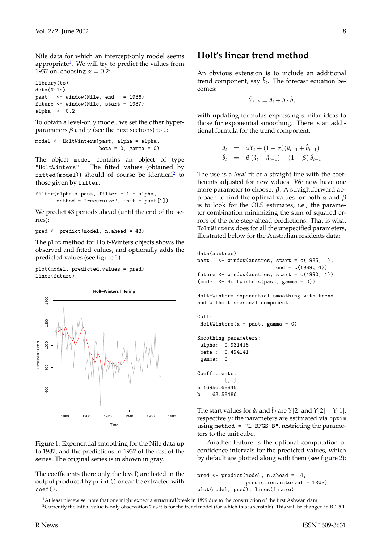Nile data for which an intercept-only model seems appropriate<sup>[1](#page-7-0)</sup>. We will try to predict the values from 1937 on, choosing  $\alpha = 0.2$ :

```
library(ts)
data(Nile)
past <- window(Nile, end = 1936)
future <- window(Nile, start = 1937)
alpha <-0.2
```
To obtain a level-only model, we set the other hyperparameters  $β$  and  $γ$  (see the next sections) to 0:

model <- HoltWinters(past, alpha = alpha, beta =  $0$ , gamma =  $0$ )

The object model contains an object of type "HoltWinters". The fitted values (obtained by  $\texttt{fitted}(\texttt{model})$ ) should of course be identical $^2$  $^2$  to those given by filter:

```
filter(alpha * past, filter = 1 - alpha,
       method = "recursive", init = past[1])
```
We predict 43 periods ahead (until the end of the series):

pred <- predict(model, n.ahead = 43)

The plot method for Holt-Winters objects shows the observed and fitted values, and optionally adds the predicted values (see figure [1\)](#page-7-2):

plot(model, predicted.values = pred) lines(future)



<span id="page-7-2"></span>Figure 1: Exponential smoothing for the Nile data up to 1937, and the predictions in 1937 of the rest of the series. The original series is in shown in gray.

The coefficients (here only the level) are listed in the output produced by print() or can be extracted with coef().

#### **Holt's linear trend method**

An obvious extension is to include an additional trend component, say  $\hat{b}_t$ . The forecast equation becomes:

$$
\hat{Y}_{t+h} = \hat{a}_t + h \cdot \hat{b}_t
$$

with updating formulas expressing similar ideas to those for exponential smoothing. There is an additional formula for the trend component:

$$
\hat{a}_t = \alpha Y_t + (1 - \alpha)(\hat{a}_{t-1} + \hat{b}_{t-1}) \n\hat{b}_t = \beta (\hat{a}_t - \hat{a}_{t-1}) + (1 - \beta) \hat{b}_{t-1}
$$

The use is a *local* fit of a straight line with the coefficients adjusted for new values. We now have one more parameter to choose:  $β$ . A straightforward approach to find the optimal values for both  $\alpha$  and  $\beta$ is to look for the OLS estimates, i.e., the parameter combination minimizing the sum of squared errors of the one-step-ahead predictions. That is what HoltWinters does for all the unspecified parameters, illustrated below for the Australian residents data:

```
data(austres)
past \leq window(austres, start = c(1985, 1),
                          end = c(1989, 4)future \le window(austres, start = c(1990, 1))
(model <- HoltWinters(past, gamma = 0))
Holt-Winters exponential smoothing with trend
and without seasonal component.
C_{2}11\cdotHoltWinters(x = past, gamma = 0)Smoothing parameters:
alpha: 0.931416
beta : 0.494141
gamma: 0
Coefficients:
         \lceil,1]
a 16956.68845
b 63.58486
```
The start values for  $\hat{a}_t$  and  $\hat{b}_t$  are  $Y[2]$  and  $Y[2] - Y[1]$ , respectively; the parameters are estimated via optim using method = "L-BFGS-B", restricting the parameters to the unit cube.

Another feature is the optional computation of confidence intervals for the predicted values, which by default are plotted along with them (see figure [2\)](#page-8-0):

```
pred <- predict(model, n.ahead = 14,
                prediction.interval = TRUE)
plot(model, pred); lines(future)
```
<span id="page-7-1"></span><span id="page-7-0"></span><sup>&</sup>lt;sup>1</sup>At least piecewise: note that one might expect a structural break in 1899 due to the construction of the first Ashwan dam

<sup>&</sup>lt;sup>2</sup>Currently the initial value is only observation 2 as it is for the trend model (for which this is sensible). This will be changed in R 1.5.1.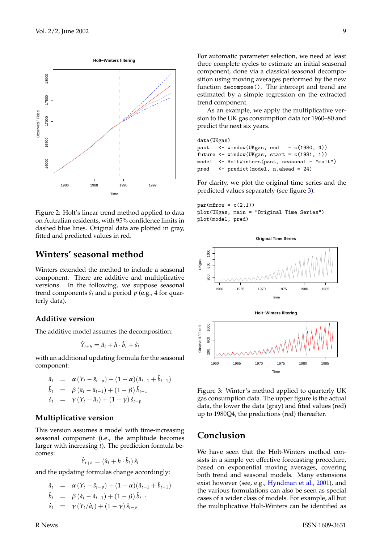<span id="page-8-2"></span>

<span id="page-8-0"></span>Figure 2: Holt's linear trend method applied to data on Autralian residents, with 95% confidence limits in dashed blue lines. Original data are plotted in gray, fitted and predicted values in red.

## **Winters' seasonal method**

Winters extended the method to include a seasonal component. There are additive and multiplicative versions. In the following, we suppose seasonal trend components  $\hat{s}_t$  and a period  $p$  (e.g., 4 for quarterly data).

#### **Additive version**

The additive model assumes the decomposition:

$$
\hat{Y}_{t+h} = \hat{a}_t + h \cdot \hat{b}_t + \hat{s}_t
$$

with an additional updating formula for the seasonal component:

$$
\hat{a}_t = \alpha (Y_t - \hat{s}_{t-p}) + (1 - \alpha)(\hat{a}_{t-1} + \hat{b}_{t-1}) \n\hat{b}_t = \beta (\hat{a}_t - \hat{a}_{t-1}) + (1 - \beta) \hat{b}_{t-1} \n\hat{s}_t = \gamma (Y_t - \hat{a}_t) + (1 - \gamma) \hat{s}_{t-p}
$$

#### **Multiplicative version**

This version assumes a model with time-increasing seasonal component (i.e., the amplitude becomes larger with increasing *t*). The prediction formula becomes:

$$
\hat{Y}_{t+h} = (\hat{a}_t + h \cdot \hat{b}_t) \hat{s}_t
$$

and the updating formulas change accordingly:

$$
\hat{a}_t = \alpha (Y_t - \hat{s}_{t-p}) + (1 - \alpha)(\hat{a}_{t-1} + \hat{b}_{t-1})
$$
\n
$$
\hat{b}_t = \beta (\hat{a}_t - \hat{a}_{t-1}) + (1 - \beta) \hat{b}_{t-1}
$$
\n
$$
\hat{s}_t = \gamma (Y_t/\hat{a}_t) + (1 - \gamma) \hat{s}_{t-p}
$$

For automatic parameter selection, we need at least three complete cycles to estimate an initial seasonal component, done via a classical seasonal decomposition using moving averages performed by the new function decompose(). The intercept and trend are estimated by a simple regression on the extracted trend component.

As an example, we apply the multiplicative version to the UK gas consumption data for 1960–80 and predict the next six years.

```
data(UKgas)
past \leftarrow window(UKgas, end = c(1980, 4))
future \le window(UKgas, start = c(1981, 1))
model <- HoltWinters(past, seasonal = "mult")
pred <- predict(model, n.ahead = 24)
```
For clarity, we plot the original time series and the predicted values separately (see figure [3\)](#page-8-1):

```
par(mfrow = c(2,1))plot(UKgas, main = "Original Time Series")
plot(model, pred)
```


<span id="page-8-1"></span>Figure 3: Winter's method applied to quarterly UK gas consumption data. The upper figure is the actual data, the lower the data (gray) and fited values (red) up to 1980Q4, the predictions (red) thereafter.

### **Conclusion**

We have seen that the Holt-Winters method consists in a simple yet effective forecasting procedure, based on exponential moving averages, covering both trend and seasonal models. Many extensions exist however (see, e.g., [Hyndman et al.,](#page-9-3) [2001\)](#page-9-3), and the various formulations can also be seen as special cases of a wider class of models. For example, all but the multiplicative Holt-Winters can be identified as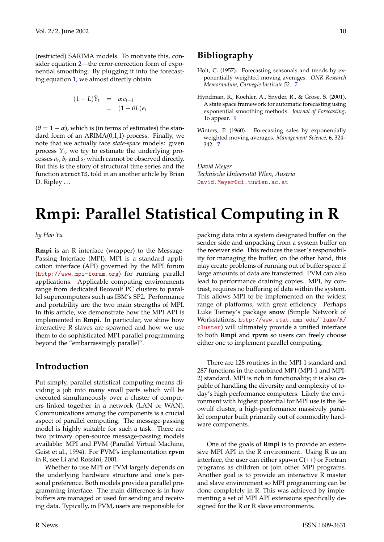(restricted) SARIMA models. To motivate this, consider equation [2—](#page-6-10)the error-correction form of exponential smoothing. By plugging it into the forecasting equation [1,](#page-6-11) we almost directly obtain:

$$
(1 - L)\hat{Y}_t = \alpha e_{t-1}
$$
  
= 
$$
(1 - \theta L)e_t
$$

 $(\theta = 1 - \alpha)$ , which is (in terms of estimates) the standard form of an ARIMA(0,1,1)-process. Finally, we note that we actually face *state-space* models: given process *Y<sup>t</sup>* , we try to estimate the underlying processes *a<sup>t</sup>* , *b<sup>t</sup>* and *s<sup>t</sup>* which cannot be observed directly. But this is the story of structural time series and the function structTS, told in an another article by Brian D. Ripley  $\dots$ 

## **Bibliography**

- <span id="page-9-1"></span>Holt, C. (1957). Forecasting seasonals and trends by exponentially weighted moving averages. *ONR Research Memorandum, Carnegie Institute 52*. [7](#page-6-12)
- <span id="page-9-3"></span>Hyndman, R., Koehler, A., Snyder, R., & Grose, S. (2001). A state space framework for automatic forecasting using exponential smoothing methods. *Journal of Forecasting*. To appear. [9](#page-8-2)
- <span id="page-9-2"></span>Winters, P. (1960). Forecasting sales by exponentially weighted moving averages. *Management Science*, **6**, 324– 342. [7](#page-6-12)

*David Meyer Technische Universität Wien, Austria* [David.Meyer@ci.tuwien.ac.at](mailto:David.Meyer@ci.tuwien.ac.at)

# **Rmpi: Parallel Statistical Computing in R**

<span id="page-9-0"></span>*by Hao Yu*

**Rmpi** is an R interface (wrapper) to the Message-Passing Interface (MPI). MPI is a standard application interface (API) governed by the MPI forum (<http://www.mpi-forum.org>) for running parallel applications. Applicable computing environments range from dedicated Beowulf PC clusters to parallel supercomputers such as IBM's SP2. Performance and portability are the two main strengths of MPI. In this article, we demonstrate how the MPI API is implemented in **Rmpi**. In particular, we show how interactive R slaves are spawned and how we use them to do sophisticated MPI parallel programming beyond the "embarrassingly parallel".

### **Introduction**

Put simply, parallel statistical computing means dividing a job into many small parts which will be executed simultaneously over a cluster of computers linked together in a network (LAN or WAN). Communications among the components is a crucial aspect of parallel computing. The message-passing model is highly suitable for such a task. There are two primary open-source message-passing models available: MPI and PVM (Parallel Virtual Machine, Geist et al., 1994). For PVM's implementation **rpvm** in R, see Li and Rossini, 2001.

Whether to use MPI or PVM largely depends on the underlying hardware structure and one's personal preference. Both models provide a parallel programming interface. The main difference is in how buffers are managed or used for sending and receiving data. Typically, in PVM, users are responsible for

packing data into a system designated buffer on the sender side and unpacking from a system buffer on the receiver side. This reduces the user's responsibility for managing the buffer; on the other hand, this may create problems of running out of buffer space if large amounts of data are transferred. PVM can also lead to performance draining copies. MPI, by contrast, requires no buffering of data within the system. This allows MPI to be implemented on the widest range of platforms, with great efficiency. Perhaps Luke Tierney's package **snow** (Simple Network of Workstations, [http://www.stat.umn.edu/~luke/R/](http://www.stat.umn.edu/~luke/R/cluster) [cluster](http://www.stat.umn.edu/~luke/R/cluster)) will ultimately provide a unified interface to both **Rmpi** and **rpvm** so users can freely choose either one to implement parallel computing.

There are 128 routines in the MPI-1 standard and 287 functions in the combined MPI (MPI-1 and MPI-2) standard. MPI is rich in functionality; it is also capable of handling the diversity and complexity of today's high performance computers. Likely the environment with highest potential for MPI use is the Beowulf cluster, a high-performance massively parallel computer built primarily out of commodity hardware components.

One of the goals of **Rmpi** is to provide an extensive MPI API in the R environment. Using R as an interface, the user can either spawn  $C(+)$  or Fortran programs as children or join other MPI programs. Another goal is to provide an interactive R master and slave environment so MPI programming can be done completely in R. This was achieved by implementing a set of MPI API extensions specifically designed for the R or R slave environments.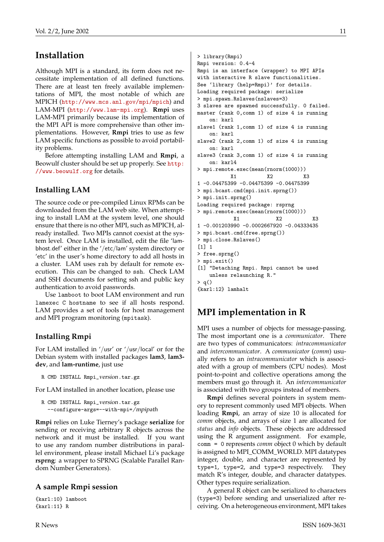# **Installation**

Although MPI is a standard, its form does not necessitate implementation of all defined functions. There are at least ten freely available implementations of MPI, the most notable of which are MPICH (<http://www.mcs.anl.gov/mpi/mpich>) and LAM-MPI (<http://www.lam-mpi.org>). **Rmpi** uses LAM-MPI primarily because its implementation of the MPI API is more comprehensive than other implementations. However, **Rmpi** tries to use as few LAM specific functions as possible to avoid portability problems.

Before attempting installing LAM and **Rmpi**, a Beowulf cluster should be set up properly. See [http:](http://www.beowulf.org) [//www.beowulf.org](http://www.beowulf.org) for details.

#### **Installing LAM**

The source code or pre-compiled Linux RPMs can be downloaded from the LAM web site. When attempting to install LAM at the system level, one should ensure that there is no other MPI, such as MPICH, already installed. Two MPIs cannot coexist at the system level. Once LAM is installed, edit the file 'lambhost.def' either in the '/etc/lam' system directory or 'etc' in the user's home directory to add all hosts in a cluster. LAM uses rsh by default for remote execution. This can be changed to ssh. Check LAM and SSH documents for setting ssh and public key authentication to avoid passwords.

Use lamboot to boot LAM environment and run lamexec C hostname to see if all hosts respond. LAM provides a set of tools for host management and MPI program monitoring (mpitask).

#### **Installing Rmpi**

For LAM installed in '/usr' or '/usr/local' or for the Debian system with installed packages **lam3**, **lam3 dev**, and **lam-runtime**, just use

```
R CMD INSTALL Rmpi_version.tar.gz
```
For LAM installed in another location, please use

```
R CMD INSTALL Rmpi_version.tar.gz
  --configure-args=--with-mpi=/mpipath
```
**Rmpi** relies on Luke Tierney's package **serialize** for sending or receiving arbitrary R objects across the network and it must be installed. If you want to use any random number distributions in parallel environment, please install Michael Li's package **rsprng**: a wrapper to SPRNG (Scalable Parallel Random Number Generators).

#### **A sample Rmpi session**

{karl:10} lamboot {karl:11} R

```
> library(Rmpi)
Rmpi version: 0.4-4
Rmpi is an interface (wrapper) to MPI APIs
with interactive R slave functionalities.
See 'library (help=Rmpi)' for details.
Loading required package: serialize
> mpi.spawn.Rslaves(nslaves=3)
3 slaves are spawned successfully. 0 failed.
master (rank 0,comm 1) of size 4 is running
   on: karl
slave1 (rank 1,comm 1) of size 4 is running
   on: karl
slave2 (rank 2,comm 1) of size 4 is running
   on: karl
slave3 (rank 3,comm 1) of size 4 is running
   on: karl4
> mpi.remote.exec(mean(rnorm(1000)))
           X1 X2 X3
1 -0.04475399 -0.04475399 -0.04475399
> mpi.bcast.cmd(mpi.init.sprng())
> mpi.init.sprng()
Loading required package: rsprng
> mpi.remote.exec(mean(rnorm(1000)))
            X1 X2 X3
1 -0.001203990 -0.0002667920 -0.04333435
> mpi.bcast.cmd(free.sprng())
> mpi.close.Rslaves()
[1] 1
> free.sprng()
> mpi.exit()
[1] "Detaching Rmpi. Rmpi cannot be used
   unless relaunching R."
> q()
{karl:12} lamhalt
```
# **MPI implementation in R**

MPI uses a number of objects for message-passing. The most important one is a *communicator*. There are two types of communicators: *intracommunicator* and *intercommunicator*. A *communicator* (*comm*) usually refers to an *intracommunicator* which is associated with a group of members (CPU nodes). Most point-to-point and collective operations among the members must go through it. An *intercommunicator* is associated with two groups instead of members.

**Rmpi** defines several pointers in system memory to represent commonly used MPI objects. When loading **Rmpi**, an array of size 10 is allocated for *comm* objects, and arrays of size 1 are allocated for *status* and *info* objects. These objects are addressed using the R argument assignment. For example, comm = 0 represents *comm* object 0 which by default is assigned to MPI\_COMM\_WORLD. MPI datatypes integer, double, and character are represented by type=1, type=2, and type=3 respectively. They match R's integer, double, and character datatypes. Other types require serialization.

A general R object can be serialized to characters (type=3) before sending and unserialized after receiving. On a heterogeneous environment, MPI takes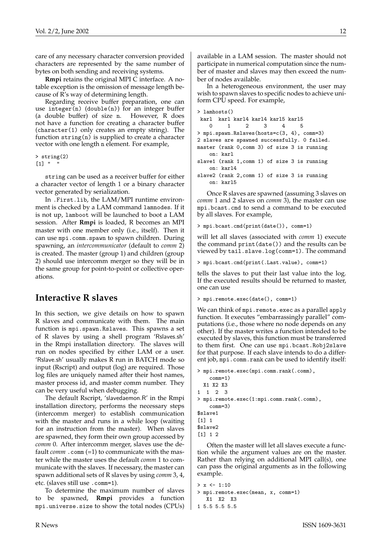care of any necessary character conversion provided characters are represented by the same number of bytes on both sending and receiving systems.

**Rmpi** retains the original MPI C interface. A notable exception is the omission of message length because of R's way of determining length.

Regarding receive buffer preparation, one can use integer(n) (double(n)) for an integer buffer (a double buffer) of size n. However, R does not have a function for creating a character buffer (character(1) only creates an empty string). The function string(n) is supplied to create a character vector with one length n element. For example,

```
> string(2)
[1] " "
```
string can be used as a receiver buffer for either a character vector of length 1 or a binary character vector generated by serialization.

In .First.lib, the LAM/MPI runtime environment is checked by a LAM command lamnodes. If it is not up, lamboot will be launched to boot a LAM session. After **Rmpi** is loaded, R becomes an MPI master with one member only (i.e., itself). Then it can use mpi.comm.spawn to spawn children. During spawning, an *intercommunicator* (default to *comm* 2) is created. The master (group 1) and children (group 2) should use intercomm merger so they will be in the same group for point-to-point or collective operations.

### **Interactive R slaves**

In this section, we give details on how to spawn R slaves and communicate with them. The main function is mpi.spawn.Rslaves. This spawns a set of R slaves by using a shell program 'Rslaves.sh' in the Rmpi installation directory. The slaves will run on nodes specified by either LAM or a user. 'Rslave.sh' usually makes R run in BATCH mode so input (Rscript) and output (log) are required. Those log files are uniquely named after their host names, master process id, and master comm number. They can be very useful when debugging.

The default Rscript, 'slavedaemon.R' in the Rmpi installation directory, performs the necessary steps (intercomm merger) to establish communication with the master and runs in a while loop (waiting for an instruction from the master). When slaves are spawned, they form their own group accessed by *comm* 0. After intercomm merger, slaves use the default *comm* .comm (=1) to communicate with the master while the master uses the default *comm* 1 to communicate with the slaves. If necessary, the master can spawn additional sets of R slaves by using *comm* 3, 4, etc. (slaves still use .comm=1).

To determine the maximum number of slaves to be spawned, **Rmpi** provides a function mpi.universe.size to show the total nodes (CPUs) available in a LAM session. The master should not participate in numerical computation since the number of master and slaves may then exceed the number of nodes available.

In a heterogeneous environment, the user may wish to spawn slaves to specific nodes to achieve uniform CPU speed. For example,

```
> lamhosts()
karl karl karl4 karl4 karl5 karl5
   0 1 2 3 4 5
> mpi.spawn.Rslaves(hosts=c(3, 4), comm=3)
2 slaves are spawned successfully. 0 failed.
master (rank 0,comm 3) of size 3 is running
   on: karl
slave1 (rank 1,comm 1) of size 3 is running
   on: karl4
slave2 (rank 2,comm 1) of size 3 is running
   on: karl5
```
Once R slaves are spawned (assuming 3 slaves on *comm* 1 and 2 slaves on *comm* 3), the master can use mpi.bcast.cmd to send a command to be executed by all slaves. For example,

```
> mpi.bcast.cmd(print(date()), comm=1)
```
will let all slaves (associated with *comm* 1) execute the command print(date()) and the results can be viewed by tail.slave.log(comm=1). The command

```
> mpi.bcast.cmd(print(.Last.value), comm=1)
```
tells the slaves to put their last value into the log. If the executed results should be returned to master, one can use

```
> mpi.remote.exec(date(), comm=1)
```
We can think of mpi.remote.exec as a parallel apply function. It executes "embarrassingly parallel" computations (i.e., those where no node depends on any other). If the master writes a function intended to be executed by slaves, this function must be transferred to them first. One can use mpi.bcast.Robj2slave for that purpose. If each slave intends to do a different job, mpi.comm.rank can be used to identify itself:

```
> mpi.remote.exec(mpi.comm.rank(.comm),
   comm=1)
 X1 X2 X3
1 1 2 3
> mpi.remote.exec(1:mpi.comm.rank(.comm),
    comm=3)
$slave1
[1] 1
$slave2
[1] 1 2
```
Often the master will let all slaves execute a function while the argument values are on the master. Rather than relying on additional MPI call(s), one can pass the original arguments as in the following example.

```
> x < -1:10> mpi.remote.exec(mean, x, comm=1)
  X1 X2 X3
1 5.5 5.5 5.5
```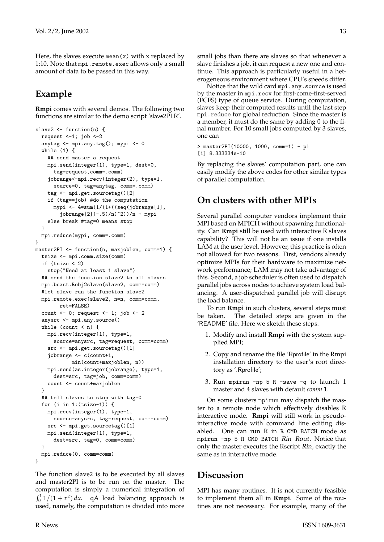Here, the slaves execute mean $(x)$  with x replaced by 1:10. Note that mpi.remote.exec allows only a small amount of data to be passed in this way.

# **Example**

**Rmpi** comes with several demos. The following two functions are similar to the demo script 'slave2PI.R'.

```
slave2 <- function(n) {
  request <-1; job <-2anytag <- mpi.any.tag(); mypi <- 0
  while (1) {
    ## send master a request
   mpi.send(integer(1), type=1, dest=0,
     tag=request,comm=.comm)
    jobrange<-mpi.recv(integer(2), type=1,
     source=0, tag=anytag, comm=.comm)
    tag <- mpi.get.sourcetag()[2]
    if (tag==job) #do the computation
      mypi <- 4*sum(1/(1+((seq(jobrange[1],
        jobrange[2]) - .5)/n) 2))/n + mypi
    else break #tag=0 means stop
  }
 mpi.reduce(mypi, comm=.comm)
}
master2PI <- function(n, maxjoblen, comm=1) {
  tsize <- mpi.comm.size(comm)
  if (tsize < 2)
    stop("Need at least 1 slave")
  ## send the function slave2 to all slaves
  mpi.bcast.Robj2slave(slave2, comm=comm)
  #let slave run the function slave2
  mpi.remote.exec(slave2, n=n, comm=comm,
        ret=FALSE)
  count \leq 0; request \leq 1; job \leq 2
  anysrc <- mpi.any.source()
  while (count \langle n \rangle {
   mpi.recv(integer(1), type=1,
     source=anysrc, tag=request, comm=comm)
    src <- mpi.get.sourcetag()[1]
    jobrange <- c(count+1,
            min(count+maxjoblen, n))
   mpi.send(as.integer(jobrange), type=1,
      dest=src, tag=job, comm=comm)
    count <- count+maxjoblen
  }
  ## tell slaves to stop with tag=0
  for (i in 1:(tsize-1)) {
   mpi.recv(integer(1), type=1,
      source=anysrc, tag=request, comm=comm)
    src <- mpi.get.sourcetag()[1]
    mpi.send(integer(1), type=1,
      dest=src, tag=0, comm=comm)
  }
 mpi.reduce(0, comm=comm)
}
```
The function slave2 is to be executed by all slaves and master2PI is to be run on the master. The computation is simply a numerical integration of  $\int_0^1 1/(1 + x^2) dx$ . qA load balancing approach is used, namely, the computation is divided into more small jobs than there are slaves so that whenever a slave finishes a job, it can request a new one and continue. This approach is particularly useful in a heterogeneous environment where CPU's speeds differ.

Notice that the wild card mpi.any.source is used by the master in mpi.recv for first-come-first-served (FCFS) type of queue service. During computation, slaves keep their computed results until the last step mpi.reduce for global reduction. Since the master is a member, it must do the same by adding 0 to the final number. For 10 small jobs computed by 3 slaves, one can

```
> master2PI(10000, 1000, comm=1) - pi
[1] 8.333334e-10
```
By replacing the slaves' computation part, one can easily modify the above codes for other similar types of parallel computation.

# **On clusters with other MPIs**

Several parallel computer vendors implement their MPI based on MPICH without spawning functionality. Can **Rmpi** still be used with interactive R slaves capability? This will not be an issue if one installs LAM at the user level. However, this practice is often not allowed for two reasons. First, vendors already optimize MPIs for their hardware to maximize network performance; LAM may not take advantage of this. Second, a job scheduler is often used to dispatch parallel jobs across nodes to achieve system load balancing. A user-dispatched parallel job will disrupt the load balance.

To run **Rmpi** in such clusters, several steps must be taken. The detailed steps are given in the 'README' file. Here we sketch these steps.

- 1. Modify and install **Rmpi** with the system supplied MPI;
- 2. Copy and rename the file 'Rprofile' in the Rmpi installation directory to the user's root directory as '.Rprofile';
- 3. Run mpirun -np 5 R -save -q to launch 1 master and 4 slaves with default *comm* 1.

On some clusters mpirun may dispatch the master to a remote node which effectively disables R interactive mode. **Rmpi** will still work in pseudointeractive mode with command line editing disabled. One can run R in R CMD BATCH mode as mpirun -np 5 R CMD BATCH Rin Rout. Notice that only the master executes the Rscript Rin, exactly the same as in interactive mode.

# **Discussion**

MPI has many routines. It is not currently feasible to implement them all in **Rmpi**. Some of the routines are not necessary. For example, many of the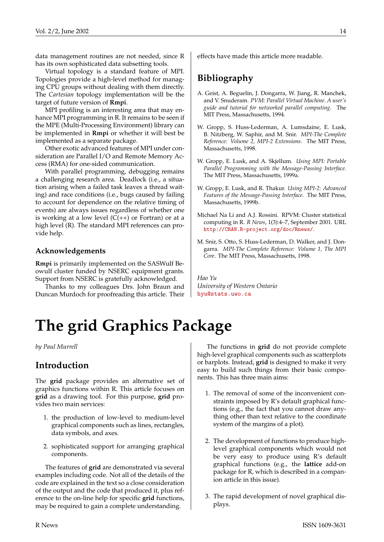data management routines are not needed, since R has its own sophisticated data subsetting tools.

Virtual topology is a standard feature of MPI. Topologies provide a high-level method for managing CPU groups without dealing with them directly. The *Cartesian* topology implementation will be the target of future version of **Rmpi**.

MPI profiling is an interesting area that may enhance MPI programming in R. It remains to be seen if the MPE (Multi-Processing Environment) library can be implemented in **Rmpi** or whether it will best be implemented as a separate package.

Other exotic advanced features of MPI under consideration are Parallel I/O and Remote Memory Access (RMA) for one-sided communication.

With parallel programming, debugging remains a challenging research area. Deadlock (i.e., a situation arising when a failed task leaves a thread waiting) and race conditions (i.e., bugs caused by failing to account for dependence on the relative timing of events) are always issues regardless of whether one is working at a low level  $(C(+))$  or Fortran) or at a high level (R). The standard MPI references can provide help.

#### **Acknowledgements**

**Rmpi** is primarily implemented on the SASWulf Beowulf cluster funded by NSERC equipment grants. Support from NSERC is gratefully acknowledged.

Thanks to my colleagues Drs. John Braun and Duncan Murdoch for proofreading this article. Their effects have made this article more readable.

# **Bibliography**

- A. Geist, A. Beguelin, J. Dongarra, W. Jiang, R. Manchek, and V. Snuderam. *PVM: Parallel Virtual Machine. A user's guide and tutorial for networked parallel computing*. The MIT Press, Massachusetts, 1994.
- W. Gropp, S. Huss-Lederman, A. Lumsdaine, E. Lusk, B. Nitzberg, W. Saphir, and M. Snir. *MPI-The Complete Reference: Volume 2, MPI-2 Extensions*. The MIT Press, Massachusetts, 1998.
- W. Gropp, E. Lusk, and A. Skjellum. *Using MPI: Portable Parallel Programming with the Message-Passing Interface*. The MIT Press, Massachusetts, 1999a.
- W. Gropp, E. Lusk, and R. Thakur. *Using MPI-2: Advanced Features of the Message-Passing Interface*. The MIT Press, Massachusetts, 1999b.
- Michael Na Li and A.J. Rossini. RPVM: Cluster statistical computing in R. *R News*, 1(3):4–7, September 2001. URL <http://CRAN.R-project.org/doc/Rnews/>.
- M. Snir, S. Otto, S. Huss-Lederman, D. Walker, and J. Dongarra. *MPI-The Complete Reference: Volume 1, The MPI Core*. The MIT Press, Massachusetts, 1998.

*Hao Yu University of Western Ontario* [hyu@stats.uwo.ca](mailto:hyu@stats.uwo.ca)

# **The grid Graphics Package**

<span id="page-13-0"></span>*by Paul Murrell*

## **Introduction**

The **grid** package provides an alternative set of graphics functions within R. This article focuses on **grid** as a drawing tool. For this purpose, **grid** provides two main services:

- 1. the production of low-level to medium-level graphical components such as lines, rectangles, data symbols, and axes.
- 2. sophisticated support for arranging graphical components.

The features of **grid** are demonstrated via several examples including code. Not all of the details of the code are explained in the text so a close consideration of the output and the code that produced it, plus reference to the on-line help for specific **grid** functions, may be required to gain a complete understanding.

The functions in **grid** do not provide complete high-level graphical components such as scatterplots or barplots. Instead, **grid** is designed to make it very easy to build such things from their basic components. This has three main aims:

- 1. The removal of some of the inconvenient constraints imposed by R's default graphical functions (e.g., the fact that you cannot draw anything other than text relative to the coordinate system of the margins of a plot).
- 2. The development of functions to produce highlevel graphical components which would not be very easy to produce using R's default graphical functions (e.g., the **lattice** add-on package for R, which is described in a companion article in this issue).
- 3. The rapid development of novel graphical displays.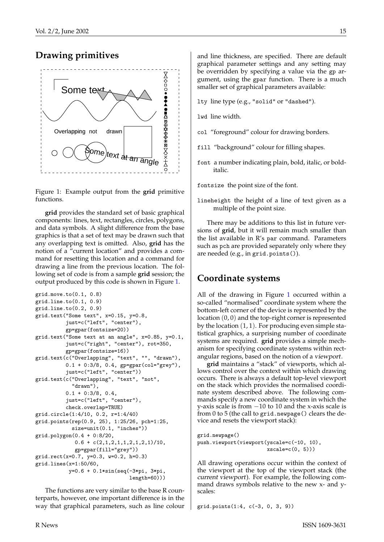

## **Drawing primitives**



<span id="page-14-0"></span>**grid** provides the standard set of basic graphical components: lines, text, rectangles, circles, polygons, and data symbols. A slight difference from the base graphics is that a set of text may be drawn such that any overlapping text is omitted. Also, **grid** has the notion of a "current location" and provides a command for resetting this location and a command for drawing a line from the previous location. The following set of code is from a sample **grid** session; the output produced by this code is shown in Figure [1.](#page-14-0)

```
grid.move.to(0.1, 0.8)
grid.line.to(0.1, 0.9)
grid.line.to(0.2, 0.9)
grid.text("Some text", x=0.15, y=0.8,
          just=c("left", "center"),
          gp=gpar(fontsize=20))
grid.text("Some text at an angle", x=0.85, y=0.1,
          just=c("right", "center"), rot=350,
          gp=gpar(fontsize=16))
grid.text(c("Overlapping", "text", "", "drawn"),
          0.1 + 0:3/8, 0.4, gp=gpar(col="grey"),
          just=c("left", "center"))
grid.text(c("Overlapping", "text", "not",
            "drawn"),
          0.1 + 0.3/8, 0.4,just=c("left", "center"),
          check.overlap=TRUE)
grid.circle(1:4/10, 0.2, r=1:4/40)
grid.points(rep(0.9, 25), 1:25/26, pch=1:25,
            size=unit(0.1, "inches"))
grid.polygon(0.4 + 0:8/20,
             0.6 + c(2,1,2,1,1,2,1,2,1)/10,
             gp=gpar(fill="grey"))
grid.rect(x=0.7, y=0.3, w=0.2, h=0.3)
grid.lines(x=1:50/60,
           y=0.6 + 0.1*sin(seq(-3*pi, 3*pi,
                               length=60)))
```
The functions are very similar to the base R counterparts, however, one important difference is in the way that graphical parameters, such as line colour and line thickness, are specified. There are default graphical parameter settings and any setting may be overridden by specifying a value via the gp argument, using the gpar function. There is a much smaller set of graphical parameters available:

- lty line type (e.g., "solid" or "dashed").
- lwd line width.
- col "foreground" colour for drawing borders.
- fill "background" colour for filling shapes.
- font a number indicating plain, bold, italic, or bolditalic.

fontsize the point size of the font.

lineheight the height of a line of text given as a multiple of the point size.

There may be additions to this list in future versions of **grid**, but it will remain much smaller than the list available in R's par command. Parameters such as pch are provided separately only where they are needed (e.g., in grid.points()).

# **Coordinate systems**

All of the drawing in Figure [1](#page-14-0) occurred within a so-called "normalised" coordinate system where the bottom-left corner of the device is represented by the location (0, 0) and the top-right corner is represented by the location (1, 1). For producing even simple statistical graphics, a surprising number of coordinate systems are required. **grid** provides a simple mechanism for specifying coordinate systems within rectangular regions, based on the notion of a viewport.

**grid** maintains a "stack" of viewports, which allows control over the context within which drawing occurs. There is always a default top-level viewport on the stack which provides the normalised coordinate system described above. The following commands specify a new coordinate system in which the y-axis scale is from −10 to 10 and the x-axis scale is from 0 to 5 (the call to grid.newpage() clears the device and resets the viewport stack):

```
grid.newpage()
push.viewport(viewport(yscale=c(-10, 10),
                      xscale=c(0, 5))
```
All drawing operations occur within the context of the viewport at the top of the viewport stack (the current viewport). For example, the following command draws symbols relative to the new x- and yscales:

grid.points(1:4, c(-3, 0, 3, 9))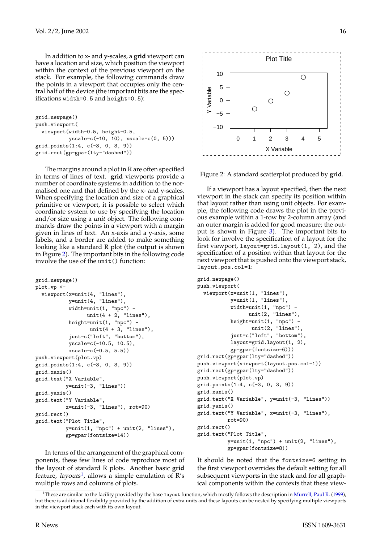<span id="page-15-2"></span>In addition to x- and y-scales, a **grid** viewport can have a location and size, which position the viewport within the context of the previous viewport on the stack. For example, the following commands draw the points in a viewport that occupies only the central half of the device (the important bits are the specifications width=0.5 and height=0.5):

```
grid.newpage()
push.viewport(
  viewport(width=0.5, height=0.5,
           yscale=c(-10, 10), xscale=c(0, 5)))
grid.points(1:4, c(-3, 0, 3, 9))
grid.rect(gp=gpar(lty="dashed"))
```
The margins around a plot in R are often specified in terms of lines of text. **grid** viewports provide a number of coordinate systems in addition to the normalised one and that defined by the x- and y-scales. When specifying the location and size of a graphical primitive or viewport, it is possible to select which coordinate system to use by specifying the location and/or size using a unit object. The following commands draw the points in a viewport with a margin given in lines of text. An x-axis and a y-axis, some labels, and a border are added to make something looking like a standard R plot (the output is shown in Figure [2\)](#page-15-0). The important bits in the following code involve the use of the unit() function:

```
grid.newpage()
plot.vp <-
  viewport(x=unit(4, "lines"),
          y=unit(4, "lines"),
          width=unit(1, "npc") -
                unit(4 + 2, "lines"),height=unit(1, "npc") -
                 unit(4 + 3, "lines").
          just=c("left", "bottom"),
          yscale=c(-10.5, 10.5),
          xscale=c(-0.5, 5.5))push.viewport(plot.vp)
grid.points(1:4, c(-3, 0, 3, 9))
grid.xaxis()
grid.text("X Variable",
         y=unit(-3, "lines"))
grid.yaxis()
grid.text("Y Variable",
         x=unit(-3, "lines"), rot=90)
grid.rect()
grid.text("Plot Title",
         y=unit(1, "npc") + unit(2, "lines"),gp=gpar(fontsize=14))
multiple rows and columns of plots. ●
```
In terms of the arrangement of the graphical components, these few lines of code reproduce most of the layout of standard R plots. Another basic **grid** feature, layouts<sup>[1](#page-15-1)</sup>, allows a simple emulation of R's



<span id="page-15-0"></span>Figure 2: A standard scatterplot produced by **grid**.

If a viewport has a layout specified, then the next viewport in the stack can specify its position within that layout rather than using unit objects. For example, the following code draws the plot in the previous example within a 1-row by 2-column array (and an outer margin is added for good measure; the output is shown in Figure [3\)](#page-16-0). The important bits to look for involve the specification of a layout for the first viewport, layout=grid.layout(1, 2), and the specification of a position within that layout for the next viewport that is pushed onto the viewport stack, layout.pos.col=1:

```
grid.newpage()
push.viewport(
 viewport(x=unit(1, "lines"),
           y=unit(1, "lines"),
           width=unit(1, "npc") -
                 unit(2, "lines"),
           height=unit(1, "npc") -
                  unit(2, "lines"),
           just=c("left", "bottom"),
           layout=grid.layout(1, 2),
           gp=gpar(fontsize=6)))
grid.rect(gp=gpar(lty="dashed"))
push.viewport(viewport(layout.pos.col=1))
grid.rect(gp=gpar(lty="dashed"))
push.viewport(plot.vp)
grid.points(1:4, c(-3, 0, 3, 9))
grid.xaxis()
grid.text("X Variable", y=unit(-3, "lines"))
grid.yaxis()
grid.text("Y Variable", x=unit(-3, "lines"),
          rot=90)
grid.rect()
grid.text("Plot Title",
          y=unit(1, 'npc") + unit(2, 'lines"),gp=gpar(fontsize=8))
```
It should be noted that the fontsize=6 setting in the first viewport overrides the default setting for all subsequent viewports in the stack and for all graphical components within the contexts that these view-

<span id="page-15-1"></span><sup>&</sup>lt;sup>1</sup>These are similar to the facility provided by the base 1 ayout function, which mostly follows the description in [Murrell, Paul R.](#page-18-1) [\(1999\)](#page-18-1), but there is additional flexibility provided by the addition of extra units and these layouts can be nested by specifying multiple viewports in the viewport stack each with its own layout.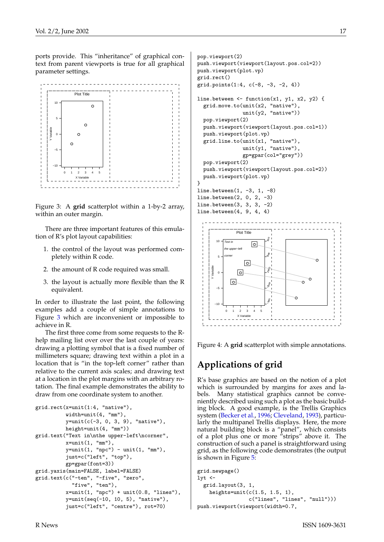<span id="page-16-1"></span>ports provide. This "inheritance" of graphical context from parent viewports is true for all graphical parameter settings.



<span id="page-16-0"></span>Figure 3: A **grid** scatterplot within a 1-by-2 array, within an outer margin.

There are three important features of this emulation of R's plot layout capabilities:

- 1. the control of the layout was performed completely within R code.
- 2. the amount of R code required was small.
- 3. the layout is actually more flexible than the R equivalent.

In order to illustrate the last point, the following examples add a couple of simple annotations to Figure [3](#page-16-0) which are inconvenient or impossible to achieve in R.

The first three come from some requests to the Rhelp mailing list over over the last couple of years: drawing a plotting symbol that is a fixed number of millimeters square; drawing text within a plot in a location that is "in the top-left corner" rather than relative to the current axis scales; and drawing text at a location in the plot margins with an arbitrary rotation. The final example demonstrates the ability to draw from one coordinate system to another.

```
grid.rect(x=unit(1:4, "native"),
          width=unit(4, "mm"),
          y=unit(c(-3, 0, 3, 9), "native"),
         height=unit(4, "mm"))
grid.text("Text in\nthe upper-left\ncorner",
          x=unit(1, "mm"),
          y=unit(1, "npc") - unit(1, "mm"),
          just=c("left", "top"),
          gp=gpar(font=3))
grid.yaxis(main=FALSE, label=FALSE)
grid.text(c("-ten", "-five", "zero",
            "five", "ten"),
          x=unit(1, "npc") + unit(0.8, "lines"),y=unit(seq(-10, 10, 5), "native"),
          just=c("left", "centre"), rot=70)
```

```
pop.viewport(2)
push.viewport(viewport(layout.pos.col=2))
push.viewport(plot.vp)
grid.rect()
grid.points(1:4, c(-8, -3, -2, 4))
line.between \leq function(x1, y1, x2, y2) {
  grid.move.to(unit(x2, "native"),
               unit(y2, "native"))
  pop.viewport(2)
  push.viewport(viewport(layout.pos.col=1))
  push.viewport(plot.vp)
  grid.line.to(unit(x1, "native"),
               unit(y1, "native"),
               gp=gpar(col="grey"))
  pop.viewport(2)
  push.viewport(viewport(layout.pos.col=2))
  push.viewport(plot.vp)
\overline{ }line.between(1, -3, 1, -8)
line.between(2, 0, 2, -3)
line.between(3, 3, 3, -2)
line.between(4, 9, 4, 4)
```


Figure 4: A **grid** scatterplot with simple annotations.

# **Applications of grid**

R's base graphics are based on the notion of a plot which is surrounded by margins for axes and labels. Many statistical graphics cannot be conveniently described using such a plot as the basic building block. A good example, is the Trellis Graphics system [\(Becker et al.,](#page-18-2) [1996;](#page-18-2) [Cleveland,](#page-18-3) [1993\)](#page-18-3), particularly the multipanel Trellis displays. Here, the more natural building block is a "panel", which consists of a plot plus one or more "strips" above it. The construction of such a panel is straightforward using grid, as the following code demonstrates (the output is shown in Figure [5:](#page-17-0)

```
grid.newpage()
lyt \leftarrowgrid.layout(3, 1,
    heights=unit(c(1.5, 1.5, 1),c("lines", "lines", "null")))
push.viewport(viewport(width=0.7,
```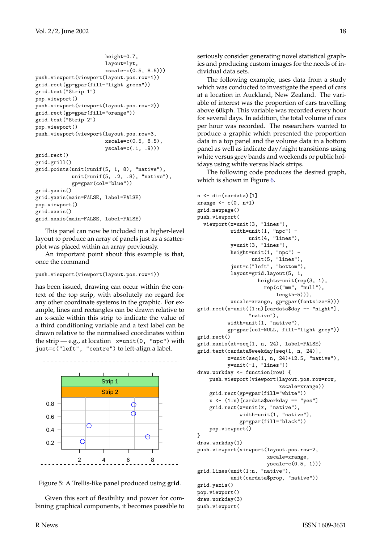```
height=0.7,
                       layout=lyt,
                       xscale=c(0.5, 8.5))push.viewport(viewport(layout.pos.row=1))
grid.rect(gp=gpar(fill="light green"))
grid.text("Strip 1")
pop.viewport()
push.viewport(viewport(layout.pos.row=2))
grid.rect(gp=gpar(fill="orange"))
grid.text("Strip 2")
pop.viewport()
push.viewport(viewport(layout.pos.row=3,
                       xscale=c(0.5, 8.5),
                       yscale=c(.1, .9)))
grid.rect()
grid.grill()
grid.points(unit(runif(5, 1, 8), "native"),
            unit(runif(5, .2, .8), "native"),
            gp=gpar(col="blue"))
grid.yaxis()
grid.yaxis(main=FALSE, label=FALSE)
pop.viewport()
grid.xaxis()
grid.xaxis(main=FALSE, label=FALSE)
```
This panel can now be included in a higher-level layout to produce an array of panels just as a scatterplot was placed within an array previously.

An important point about this example is that, once the command

```
push.viewport(viewport(layout.pos.row=1))
```
has been issued, drawing can occur within the context of the top strip, with absolutely no regard for any other coordinate systems in the graphic. For example, lines and rectangles can be drawn relative to an x-scale within this strip to indicate the value of a third conditioning variable and a text label can be drawn relative to the normalised coordinates within the strip  $-$  e.g., at location  $x=unit(0, "npc")$  with just=c("left", "centre") to left-align a label.



<span id="page-17-0"></span>Figure 5: A Trellis-like panel produced using **grid**.

Given this sort of flexibility and power for combining graphical components, it becomes possible to seriously consider generating novel statistical graphics and producing custom images for the needs of individual data sets.

The following example, uses data from a study which was conducted to investigate the speed of cars at a location in Auckland, New Zealand. The variable of interest was the proportion of cars travelling above 60kph. This variable was recorded every hour for several days. In addition, the total volume of cars per hour was recorded. The researchers wanted to produce a graphic which presented the proportion data in a top panel and the volume data in a bottom panel as well as indicate day/night transitions using white versus grey bands and weekends or public holidays using white versus black strips.

The following code produces the desired graph, which is shown in Figure [6.](#page-19-0)

```
n \leftarrow \dim(\text{cardata})[1]
xrange \leftarrow c(0, n+1)
grid.newpage()
push.viewport(
  viewport(x=unit(3, "lines"),
           width=unit(1, "npc") -
                  unit(4, "lines"),
           y=unit(3, "lines"),
           height=unit(1, "npc") -
                   unit(5, "lines"),
           just=c("left", "bottom"),
           layout=grid.layout(5, 1,
                     heights=unit(rep(3, 1),
                       rep(c("mm", "null"),
                           length=5))),
           xscale=xrange, gp=gpar(fontsize=8)))
grid.rect(x=unit((1:n)[cardata$day == "night"],
                  "native"),
          width=unit(1, "native"),
          gp=gpar(col=NULL, fill="light grey"))
grid.rect()
grid.xaxis(at=seq(1, n, 24), label=FALSE)
grid.text(cardata$weekday[seq(1, n, 24)],
          x=unit(seq(1, n, 24)+12.5, "native"),
          y=unit(-1, 'lines''))draw.workday <- function(row) {
    push.viewport(viewport(layout.pos.row=row,
                            xscale=xrange))
    grid.rect(gp=gpar(fill="white"))
    x \leftarrow (1:n) [cardata$workday == "yes"]
    grid.rect(x=unit(x, "native"),
              width=unit(1, "native"),
              gp=gpar(fill="black"))
    pop.viewport()
}
draw.workday(1)
push.viewport(viewport(layout.pos.row=2,
                        xscale=xrange,
                        yscale=c(0.5, 1)))
grid.lines(unit(1:n, "native"),
           unit(cardata$prop, "native"))
grid.yaxis()
pop.viewport()
draw.workday(3)
push.viewport(
```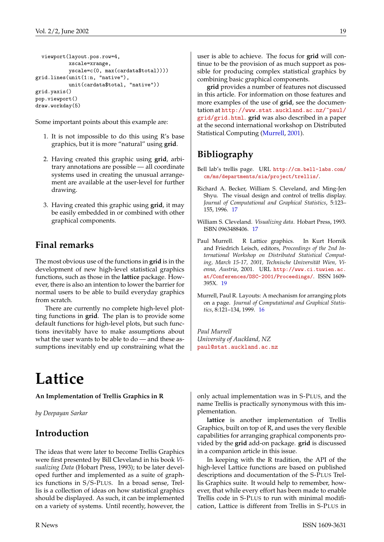```
viewport(layout.pos.row=4,
           xscale=xrange,
           yscale=c(0, max(cardata$total))))
grid.lines(unit(1:n, "native"),
           unit(cardata$total, "native"))
grid.yaxis()
pop.viewport()
draw.workday(5)
```
Some important points about this example are:

- 1. It is not impossible to do this using R's base graphics, but it is more "natural" using **grid**.
- 2. Having created this graphic using **grid**, arbitrary annotations are possible — all coordinate systems used in creating the unusual arrangement are available at the user-level for further drawing.
- 3. Having created this graphic using **grid**, it may be easily embedded in or combined with other graphical components.

# **Final remarks**

The most obvious use of the functions in **grid** is in the development of new high-level statistical graphics functions, such as those in the **lattice** package. However, there is also an intention to lower the barrier for normal users to be able to build everyday graphics from scratch.

There are currently no complete high-level plotting functions in **grid**. The plan is to provide some default functions for high-level plots, but such functions inevitably have to make assumptions about what the user wants to be able to do — and these assumptions inevitably end up constraining what the

# **Lattice**

<span id="page-18-0"></span>**An Implementation of Trellis Graphics in R**

*by Deepayan Sarkar*

# **Introduction**

The ideas that were later to become Trellis Graphics were first presented by Bill Cleveland in his book *Visualizing Data* (Hobart Press, 1993); to be later developed further and implemented as a suite of graphics functions in S/S-PLUS. In a broad sense, Trellis is a collection of ideas on how statistical graphics should be displayed. As such, it can be implemented on a variety of systems. Until recently, however, the user is able to achieve. The focus for **grid** will continue to be the provision of as much support as possible for producing complex statistical graphics by combining basic graphical components.

**grid** provides a number of features not discussed in this article. For information on those features and more examples of the use of **grid**, see the documentation at [http://www.stat.auckland.ac.nz/~paul/](http://www.stat.auckland.ac.nz/~paul/grid/grid.html) [grid/grid.html](http://www.stat.auckland.ac.nz/~paul/grid/grid.html). **grid** was also described in a paper at the second international workshop on Distributed Statistical Computing [\(Murrell,](#page-18-4) [2001\)](#page-18-4).

# **Bibliography**

- Bell lab's trellis page. URL [http://cm.bell-labs.com/](http://cm.bell-labs.com/cm/ms/departments/sia/project/trellis/) [cm/ms/departments/sia/project/trellis/](http://cm.bell-labs.com/cm/ms/departments/sia/project/trellis/).
- <span id="page-18-2"></span>Richard A. Becker, William S. Cleveland, and Ming-Jen Shyu. The visual design and control of trellis display. *Journal of Computational and Graphical Statistics*, 5:123– 155, 1996. [17](#page-16-1)
- <span id="page-18-3"></span>William S. Cleveland. *Visualizing data*. Hobart Press, 1993. ISBN 0963488406. [17](#page-16-1)
- <span id="page-18-4"></span>Paul Murrell. R Lattice graphics. In Kurt Hornik and Friedrich Leisch, editors, *Proceedings of the 2nd International Workshop on Distributed Statistical Computing, March 15-17, 2001, Technische Universität Wien, Vienna, Austria*, 2001. URL [http://www.ci.tuwien.ac.](http://www.ci.tuwien.ac.at/Conferences/DSC-2001/Proceedings/) [at/Conferences/DSC-2001/Proceedings/](http://www.ci.tuwien.ac.at/Conferences/DSC-2001/Proceedings/). ISSN 1609- 395X. [19](#page-18-5)
- <span id="page-18-1"></span>Murrell, Paul R. Layouts: A mechanism for arranging plots on a page. *Journal of Computational and Graphical Statistics*, 8:121–134, 1999. [16](#page-15-2)

*Paul Murrell University of Auckland, NZ* [paul@stat.auckland.ac.nz](mailto:paul@stat.auckland.ac.nz)

only actual implementation was in S-PLUS, and the name Trellis is practically synonymous with this implementation.

**lattice** is another implementation of Trellis Graphics, built on top of R, and uses the very flexible capabilities for arranging graphical components provided by the **grid** add-on package. **grid** is discussed in a companion article in this issue.

In keeping with the R tradition, the API of the high-level Lattice functions are based on published descriptions and documentation of the S-PLUS Trellis Graphics suite. It would help to remember, however, that while every effort has been made to enable Trellis code in S-PLUS to run with minimal modification, Lattice is different from Trellis in S-PLUS in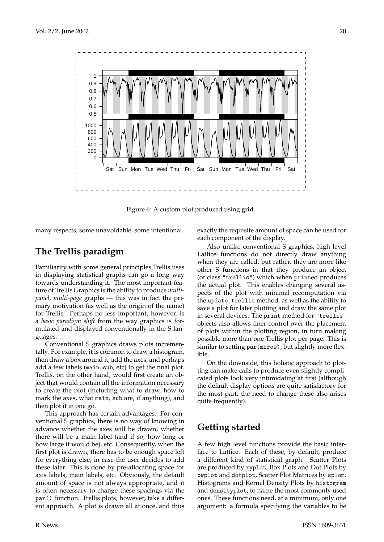

<span id="page-19-0"></span>Figure 6: A custom plot produced using **grid**.

many respects; some unavoidable, some intentional.

# **The Trellis paradigm**

Familiarity with some general principles Trellis uses in displaying statistical graphs can go a long way towards understanding it. The most important feature of Trellis Graphics is the ability to produce *multipanel, multi-page* graphs — this was in fact the primary motivation (as well as the origin of the name) for Trellis. Perhaps no less important, however, is a *basic paradigm shift* from the way graphics is formulated and displayed conventionally in the S languages.

Conventional S graphics draws plots incrementally. For example, it is common to draw a histogram, then draw a box around it, add the axes, and perhaps add a few labels (main, sub, etc) to get the final plot. Trellis, on the other hand, would first create an object that would contain all the information necessary to create the plot (including what to draw, how to mark the axes, what main, sub are, if anything), and then plot it in one go.

This approach has certain advantages. For conventional S graphics, there is no way of knowing in advance whether the axes will be drawn, whether there will be a main label (and if so, how long or how large it would be), etc. Consequently, when the first plot is drawn, there has to be enough space left for everything else, in case the user decides to add these later. This is done by pre-allocating space for axis labels, main labels, etc. Obviously, the default amount of space is not always appropriate, and it is often necessary to change these spacings via the par() function. Trellis plots, however, take a different approach. A plot is drawn all at once, and thus

exactly the requisite amount of space can be used for each component of the display.

Also unlike conventional S graphics, high level Lattice functions do not directly draw anything when they are called, but rather, they are more like other S functions in that they produce an object (of class "trellis") which when printed produces the actual plot. This enables changing several aspects of the plot with minimal recomputation via the update.trellis method, as well as the ability to save a plot for later plotting and draw the same plot in several devices. The print method for "trellis" objects also allows finer control over the placement of plots within the plotting region, in turn making possible more than one Trellis plot per page. This is similar to setting par(mfrow), but slightly more flexible.

On the downside, this holistic approach to plotting can make calls to produce even slightly complicated plots look very intimidating at first (although the default display options are quite satisfactory for the most part, the need to change these also arises quite frequently).

# **Getting started**

A few high level functions provide the basic interface to Lattice. Each of these, by default, produce a different kind of statistical graph. Scatter Plots are produced by xyplot, Box Plots and Dot Plots by bwplot and dotplot, Scatter Plot Matrices by splom, Histograms and Kernel Density Plots by histogram and densityplot, to name the most commonly used ones. These functions need, at a minimum, only one argument: a formula specifying the variables to be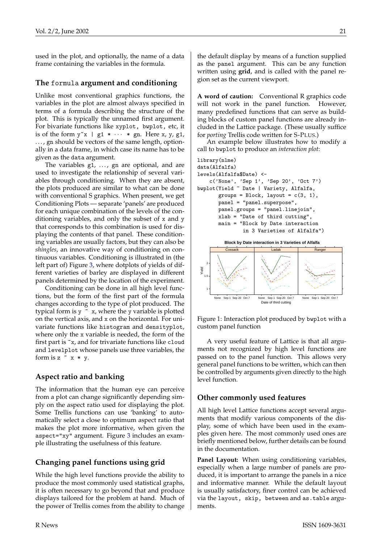used in the plot, and optionally, the name of a data frame containing the variables in the formula.

#### **The** formula **argument and conditioning**

Unlike most conventional graphics functions, the variables in the plot are almost always specified in terms of a formula describing the structure of the plot. This is typically the unnamed first argument. For bivariate functions like xyplot, bwplot, etc, it is of the form  $y^x x \mid g1 \ast \cdots \ast gn$ . Here  $x, y, g1$ , ..., gn should be vectors of the same length, optionally in a data frame, in which case its name has to be given as the data argument.

The variables  $g1, \ldots, gn$  are optional, and are used to investigate the relationship of several variables through conditioning. When they are absent, the plots produced are similar to what can be done with conventional S graphics. When present, we get Conditioning Plots — separate 'panels' are produced for each unique combination of the levels of the conditioning variables, and only the subset of x and y that corresponds to this combination is used for displaying the contents of that panel. These conditioning variables are usually factors, but they can also be *shingles*, an innovative way of conditioning on continuous variables. Conditioning is illustrated in (the left part of) Figure [3,](#page-22-0) where dotplots of yields of different varieties of barley are displayed in different panels determined by the location of the experiment.

Conditioning can be done in all high level functions, but the form of the first part of the formula changes according to the type of plot produced. The typical form is  $y \sim x$ , where the y variable is plotted on the vertical axis, and x on the horizontal. For univariate functions like histogram and densityplot, where only the x variable is needed, the form of the first part is ~x, and for trivariate functions like cloud and levelplot whose panels use three variables, the form is  $z \tilde{z} \tilde{x} * y$ .

### **Aspect ratio and banking**

The information that the human eye can perceive from a plot can change significantly depending simply on the aspect ratio used for displaying the plot. Some Trellis functions can use 'banking' to automatically select a close to optimum aspect ratio that makes the plot more informative, when given the aspect="xy" argument. Figure [3](#page-22-0) includes an example illustrating the usefulness of this feature.

## **Changing panel functions using grid**

While the high level functions provide the ability to produce the most commonly used statistical graphs, it is often necessary to go beyond that and produce displays tailored for the problem at hand. Much of the power of Trellis comes from the ability to change the default display by means of a function supplied as the panel argument. This can be any function written using **grid**, and is called with the panel region set as the current viewport.

**A word of caution:** Conventional R graphics code will not work in the panel function. However, many predefined functions that can serve as building blocks of custom panel functions are already included in the Lattice package. (These usually suffice for *porting* Trellis code written for S-PLUS.)

An example below illustrates how to modify a call to bwplot to produce an *interaction plot*:



Figure 1: Interaction plot produced by bwplot with a custom panel function

Date of third cutting

None Sep 1 Sep 20 Oct

None Sep 1 Sep 20 Oct 7

A very useful feature of Lattice is that all arguments not recognized by high level functions are passed on to the panel function. This allows very general panel functions to be written, which can then be controlled by arguments given directly to the high level function.

#### **Other commonly used features**

Sep 1 Sep 20 Oct 7

All high level Lattice functions accept several arguments that modify various components of the display, some of which have been used in the examples given here. The most commonly used ones are briefly mentioned below, further details can be found in the documentation.

**Panel Layout:** When using conditioning variables, especially when a large number of panels are produced, it is important to arrange the panels in a nice and informative manner. While the default layout is usually satisfactory, finer control can be achieved via the layout, skip, between and as.table arguments.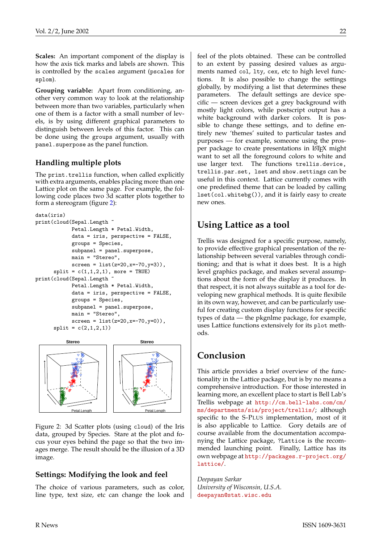**Scales:** An important component of the display is how the axis tick marks and labels are shown. This is controlled by the scales argument (pscales for splom).

**Grouping variable:** Apart from conditioning, another very common way to look at the relationship between more than two variables, particularly when one of them is a factor with a small number of levels, is by using different graphical parameters to distinguish between levels of this factor. This can be done using the groups argument, usually with panel.superpose as the panel function.

### **Handling multiple plots**

The print.trellis function, when called explicitly with extra arguments, enables placing more than one Lattice plot on the same page. For example, the following code places two 3d scatter plots together to form a stereogram (figure [2\)](#page-21-0):

```
data(iris)
print(cloud(Sepal.Length ~
            Petal.Length * Petal.Width,
            data = iris, perspective = FALSE,groups = Species,
            subpanel = panel.superpose,
            main = "Stereo",
            screen = list(z=20, x=-70, y=3)),split = c(1,1,2,1), more = TRUE)
print(cloud(Sepal.Length ~
            Petal.Length * Petal.Width,
            data = iris, perspective = FALSE,groups = Species,
            subpanel = panel.superpose,
            main = "Stereo",
            screen = list(z=20, x=-70, y=0),
      split = c(2,1,2,1))
```


<span id="page-21-0"></span>Figure 2: 3d Scatter plots (using cloud) of the Iris data, grouped by Species. Stare at the plot and focus your eyes behind the page so that the two images merge. The result should be the illusion of a 3D image.

#### **Settings: Modifying the look and feel**

The choice of various parameters, such as color, line type, text size, etc can change the look and feel of the plots obtained. These can be controlled to an extent by passing desired values as arguments named col, lty, cex, etc to high level functions. It is also possible to change the settings globally, by modifying a list that determines these parameters. The default settings are device specific — screen devices get a grey background with mostly light colors, while postscript output has a white background with darker colors. It is possible to change these settings, and to define entirely new 'themes' suited to particular tastes and purposes — for example, someone using the prosper package to create presentations in LATEX might want to set all the foreground colors to white and use larger text. The functions trellis.device, trellis.par.set, lset and show.settings can be useful in this context. Lattice currently comes with one predefined theme that can be loaded by calling lset(col.whitebg()), and it is fairly easy to create new ones.

# **Using Lattice as a tool**

Trellis was designed for a specific purpose, namely, to provide effective graphical presentation of the relationship between several variables through conditioning; and that is what it does best. It is a high level graphics package, and makes several assumptions about the form of the display it produces. In that respect, it is not always suitable as a tool for developing new graphical methods. It is quite flexibile in its own way, however, and can be particularly useful for creating custom display functions for specific types of data — the pkgnlme package, for example, uses Lattice functions extensively for its plot methods.

# **Conclusion**

This article provides a brief overview of the functionality in the Lattice package, but is by no means a comprehensive introduction. For those interested in learning more, an excellent place to start is Bell Lab's Trellis webpage at [http://cm.bell-labs.com/cm/](http://cm.bell-labs.com/cm/ms/departments/sia/project/trellis/) [ms/departments/sia/project/trellis/](http://cm.bell-labs.com/cm/ms/departments/sia/project/trellis/); although specific to the S-PLUS implementation, most of it is also applicable to Lattice. Gory details are of course available from the documentation accompanying the Lattice package, ?Lattice is the recommended launching point. Finally, Lattice has its own webpage at [http://packages.r-project.org/](http://packages.r-project.org/lattice/) [lattice/](http://packages.r-project.org/lattice/).

*Deepayan Sarkar University of Wisconsin, U.S.A.* [deepayan@stat.wisc.edu](mailto:deepayan@stat.wisc.edu)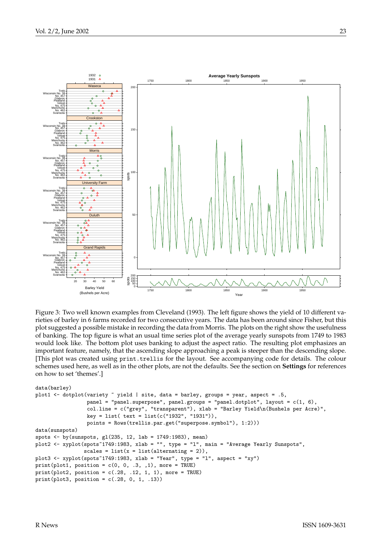

<span id="page-22-0"></span>Figure 3: Two well known examples from Cleveland (1993). The left figure shows the yield of 10 different varieties of barley in 6 farms recorded for two consecutive years. The data has been around since Fisher, but this plot suggested a possible mistake in recording the data from Morris. The plots on the right show the usefulness of banking. The top figure is what an usual time series plot of the average yearly sunspots from 1749 to 1983 would look like. The bottom plot uses banking to adjust the aspect ratio. The resulting plot emphasizes an important feature, namely, that the ascending slope approaching a peak is steeper than the descending slope. [This plot was created using print.trellis for the layout. See accompanying code for details. The colour schemes used here, as well as in the other plots, are not the defaults. See the section on **Settings** for references on how to set 'themes'.]

```
data(barley)
plot1 \leq dotplot(variety \sim yield | site, data = barley, groups = year, aspect = .5,
                 panel = "panel.superpose", panel.groups = "panel.dotplot", layout = c(1, 6),
                 col.line = c("grey", "transparent"), xlab = "Barley Yield\n(Bushels per Acre)",
                 key = list( text = list(c("1932", "1931")),
                 points = Rows(trellis.par.get("superpose.symbol"), 1:2)))
data(sunspots)
spots <- by(sunspots, gl(235, 12, lab = 1749:1983), mean)
plot2 <- xyplot(spots~1749:1983, xlab = "", type = "l", main = "Average Yearly Sunspots",
                scales = list(x = list(alternating = 2)),
plot3 <- xyplot(spots~1749:1983, xlab = "Year", type = "l", aspect = "xy")
print(plot1, position = c(0, 0, .3, .1), more = TRUE)print(plot2, position = c(.28, .12, 1, 1), more = TRUE)print(plot3, position = c(.28, 0, 1, .13))
```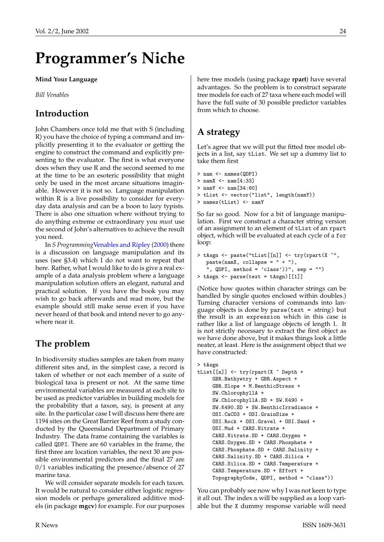# <span id="page-23-1"></span>**Programmer's Niche**

#### <span id="page-23-0"></span>**Mind Your Language**

*Bill Venables*

# **Introduction**

John Chambers once told me that with S (including R) you have the choice of typing a command and implicitly presenting it to the evaluator or getting the engine to construct the command and explicitly presenting to the evaluator. The first is what everyone does when they use R and the second seemed to me at the time to be an esoteric possibility that might only be used in the most arcane situations imaginable. However it is not so. Language manipulation within R is a live possibility to consider for everyday data analysis and can be a boon to lazy typists. There is also one situation where without trying to do anything extreme or extraordinary you *must* use the second of John's alternatives to achieve the result you need.

In *S Programming*[Venables and Ripley](#page-25-1) [\(2000\)](#page-25-1) there is a discussion on language manipulation and its uses (see §3.4) which I do not want to repeat that here. Rather, what I would like to do is give a real example of a data analysis problem where a language manipulation solution offers an elegant, natural and practical solution. If you have the book you may wish to go back afterwards and read more, but the example should still make sense even if you have never heard of that book and intend never to go anywhere near it.

# **The problem**

In biodiversity studies samples are taken from many different sites and, in the simplest case, a record is taken of whether or not each member of a suite of biological taxa is present or not. At the same time environmental variables are measured at each site to be used as predictor variables in building models for the probability that a taxon, say, is present at any site. In the particular case I will discuss here there are 1194 sites on the Great Barrier Reef from a study conducted by the Queensland Department of Primary Industry. The data frame containing the variables is called QDPI. There are 60 variables in the frame, the first three are location variables, the next 30 are possible environmental predictors and the final 27 are 0/1 variables indicating the presence/absence of 27 marine taxa.

We will consider separate models for each taxon. It would be natural to consider either logistic regression models or perhaps generalized additive models (in package **mgcv**) for example. For our purposes here tree models (using package **rpart**) have several advantages. So the problem is to construct separate tree models for each of 27 taxa where each model will have the full suite of 30 possible predictor variables from which to choose.

# **A strategy**

Let's agree that we will put the fitted tree model objects in a list, say tList. We set up a dummy list to take them first

```
> nam <- names(QDPI)
> namX <- nam[4:33]
> namY <- nam[34:60]
> tList <- vector("list", length(namY))
> names(tList) <- namY
```
So far so good. Now for a bit of language manipulation. First we construct a character string version of an assignment to an element of tList of an rpart object, which will be evaluated at each cycle of a for loop:

```
> tAsgn <- paste("tList[[n]] <- try(rpart(X ~",
  pastenamX, collapse = " + "),", QDPI, method = 'class')", sep = "")
> tAsgn <- parse(text = tAsgn)[[1]]
```
(Notice how quotes within character strings can be handled by single quotes enclosed within doubles.) Turning character versions of commands into language objects is done by parse(text = string) but the result is an expression which in this case is rather like a list of language objects of length 1. It is not strictly necessary to extract the first object as we have done above, but it makes things look a little neater, at least. Here is the assignment object that we have constructed:

#### > tAsgn

```
tList[[n]] \leftarrow try(rpart(X \text{ }\tilde{ }\text{   } \text{Depth } +GBR.Bathyetry + GBR.Aspect +
     GBR.Slope + M.BenthicStress +
     SW.ChlorophyllA +
     SW.ChlorophyllA.SD + SW.K490 +
     SW.K490.SD + SW.BenthicIrradiance +
     OSI.CaCO3 + OSI.GrainSize +
     OSI.Rock + OSI.Gravel + OSI.Sand +
     OSI.Mud + CARS.Nitrate +
     CARS.Nitrate.SD + CARS.Oxygen +
     CARS.Oxygen.SD + CARS.Phosphate +
     CARS.Phosphate.SD + CARS.Salinity +
     CARS.Salinity.SD + CARS.Silica +
     CARS.Silica.SD + CARS.Temperature +
     CARS.Temperature.SD + Effort +
     TopographyCode, QDPI, method = "class"))
```
You can probably see now why I was not keen to type it all out. The index n will be supplied as a loop variable but the X dummy response variable will need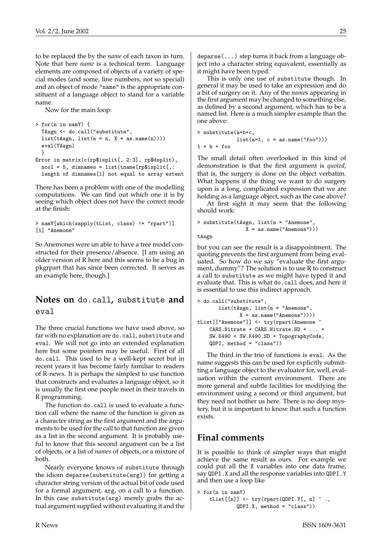to be replaced the by the *name* of each taxon in turn. Note that here *name* is a technical term. Language elements are composed of objects of a variety of special modes (and some, line numbers, not so special) and an object of mode "name" is the appropriate constituent of a language object to stand for a variable name.

Now for the main loop:

```
> for(n in namY) {
  TAsgn <- do.call("substitute",
  list(tAsgn, list(n = n, X = as.name(n))))eval(TAsgn)
  }
Error in matrix(c(rp$isplit[, 2:3], rp$dsplit),
  ncol = 5, dimnames = list(tname[rp$isplit[,:
  length of dimnames[1] not equal to array extent
```
There has been a problem with one of the modelling computations. We can find out which one it is by seeing which object does not have the correct mode at the finish:

```
> namY[which(sapply(tList, class) != "rpart")]
[1] "Anemone"
```
So Anemones were un able to have a tree model constructed for their presence/absence. [I am using an older version of R here and this seems to be a bug in pkgrpart that has since been corrected. It serves as an example here, though.]

### **Notes on** do.call**,** substitute **and** eval

The three crucial functions we have used above, so far with no explanation are do.call, substitute and eval. We will not go into an extended explanation here but some pointers may be useful. First of all do.call. This used to be a well-kept secret but in recent years it has become fairly familiar to readers of R-news. It is perhaps the simplest to use function that constructs and evaluates a language object, so it is usually the first one people meet in their travels in R programming.

The function do.call is used to evaluate a function call where the name of the function is given as a character string as the first argument and the arguments to be used for the call to that function are given as a list in the second argument. It is probably useful to know that this second argument can be a list of objects, or a list of *names* of objects, or a mixture of both.

Nearly everyone knows of substitute through the idiom deparse(substitute(arg)) for getting a character string version of the actual bit of code used for a formal argument, arg, on a call to a function. In this case substitute(arg) merely grabs the actual argument supplied without evaluating it and the deparse(...) step turns it back from a language object into a character string equivalent, essentially as

it might have been typed. This is only one use of substitute though. In general it may be used to take an expression and do a bit of surgery on it. Any of the *name*s appearing in the first argument may be changed to something else, as defined by a second argument, which has to be a named list. Here is a much simpler example than the one above:

```
> substitute(a+b+c,
             list(a=1, c = as.name("foo"))1 + b + foo
```
The small detail often overlooked in this kind of demonstration is that the first argument is *quoted*, that is, the surgery is done on the object verbatim. What happens if the thing we want to do surgery upon is a long, complicated expression that we are holding as a language object, such as the case above?

At first sight it may seem that the following should work:

> substitute(tAsgn, list(n = "Anemone", X = as.name("Anemone")))

tAsgn

but you can see the result is a disappointment. The quoting prevents the first argument from being evaluated. So how do we say "evaluate the first argument, dummy"? The solution is to use R to construct a call to substitute as we might have typed it and evaluate that. This is what do.call does, and here it is essential to use this indirect approach.

```
> do.call("substitute",
      list(tAsgn, list(n = "Anemone",
              X = as.name("Anemone"))tList[["Anemone"]] <- try(rpart(Anemone ~
   CARS.Nitrate + CARS.Nitrate.SD + ... +
    SW.K490 + SW.K490.SD + TopographyCode,
    QDPI, method = "class"))
```
The third in the trio of functions is eval. As the name suggests this can be used for explicitly submitting a language object to the evaluator for, well, evaluation within the current environment. There are more general and subtle facilities for modifying the environment using a second or third argument, but they need not bother us here. There is no deep mystery, but it is important to know that such a function exists.

# **Final comments**

It is possible to think of simpler ways that might achieve the same result as ours. For example we could put all the X variables into one data frame, say QDPI.X and all the response variables into QDPI.Y and then use a loop like

```
> for(n in namY)
    tList[[n]] \leftarrow try(rpart(QDPI.Y[, n] \sim.
              QDPI.X, method = "class"))
```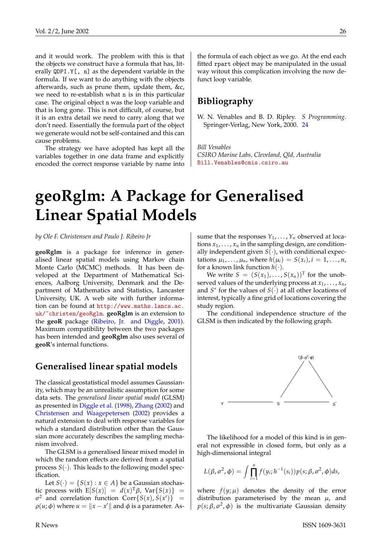<span id="page-25-2"></span>and it would work. The problem with this is that the objects we construct have a formula that has, literally QDPI.Y[, n] as the dependent variable in the formula. If we want to do anything with the objects afterwards, such as prune them, update them, &c, we need to re-establish what n is in this particular case. The original object n was the loop variable and that is long gone. This is not difficult, of course, but it is an extra detail we need to carry along that we don't need. Essentially the formula part of the object we generate would not be self-contained and this can cause problems.

The strategy we have adopted has kept all the variables together in one data frame and explicitly encoded the correct response variable by name into

the formula of each object as we go. At the end each fitted rpart object may be manipulated in the usual way witout this complication involving the now defunct loop variable.

### **Bibliography**

<span id="page-25-1"></span>W. N. Venables and B. D. Ripley. *S Programming*. Springer-Verlag, New York, 2000. [24](#page-23-1)

*Bill Venables CSIRO Marine Labs, Cleveland, Qld, Australia* [Bill.Venables@cmis.csiro.au](mailto:Bill.Venables@cmis.csiro.au)

# **geoRglm: A Package for Generalised Linear Spatial Models**

<span id="page-25-0"></span>*by Ole F. Christensen and Paulo J. Ribeiro Jr*

**geoRglm** is a package for inference in generalised linear spatial models using Markov chain Monte Carlo (MCMC) methods. It has been developed at the Department of Mathematical Sciences, Aalborg University, Denmark and the Department of Mathematics and Statistics, Lancaster University, UK. A web site with further information can be found at [http://www.maths.lancs.ac.](http://www.maths.lancs.ac.uk/~christen/geoRglm) [uk/~christen/geoRglm](http://www.maths.lancs.ac.uk/~christen/geoRglm). **geoRglm** is an extension to the **geoR** package [\(Ribeiro, Jr. and Diggle,](#page-27-1) [2001\)](#page-27-1). Maximum compatibility between the two packages has been intended and **geoRglm** also uses several of **geoR**'s internal functions.

#### **Generalised linear spatial models**

The classical geostatistical model assumes Gaussianity, which may be an unrealistic assumption for some data sets. The *generalised linear spatial model* (GLSM) as presented in [Diggle et al.](#page-27-2) [\(1998\)](#page-27-2), [Zhang](#page-27-3) [\(2002\)](#page-27-3) and [Christensen and Waagepetersen](#page-27-4) [\(2002\)](#page-27-4) provides a natural extension to deal with response variables for which a standard distribution other than the Gaussian more accurately describes the sampling mechanism involved.

The GLSM is a generalised linear mixed model in which the random effects are derived from a spatial process  $S(\cdot)$ . This leads to the following model specification.

Let  $S(\cdot) = \{S(x) : x \in A\}$  be a Gaussian stochastic process with  $E[S(x)] = d(x)^T \beta$ ,  $Var\{S(x)\}$  =  $\sigma^2$  and correlation function Corr $\{S(x), S(x')\}$  =  $\rho(u; \phi)$  where  $u = ||x - x'||$  and  $\phi$  is a parameter. As-

sume that the responses  $Y_1, \ldots, Y_n$  observed at locations  $x_1, \ldots, x_n$  in the sampling design, are conditionally independent given  $S(\cdot)$ , with conditional expectations  $\mu_1, ..., \mu_n$ , where  $h(\mu_i) = S(x_i)$ ,  $i = 1, ..., n$ , for a known link function  $h(\cdot)$ .

We write  $S = (S(x_1), \ldots, S(x_n))^T$  for the unobserved values of the underlying process at *x*1, . . . , *xn*, and  $S^*$  for the values of  $S(\cdot)$  at all other locations of interest, typically a fine grid of locations covering the study region.

The conditional independence structure of the GLSM is then indicated by the following graph.



The likelihood for a model of this kind is in general not expressible in closed form, but only as a high-dimensional integral

$$
L(\beta, \sigma^2, \phi) = \int \prod_{i=1}^n f(y_i; h^{-1}(s_i)) p(s; \beta, \sigma^2, \phi) ds,
$$

where  $f(y; \mu)$  denotes the density of the error distribution parameterised by the mean  $\mu$ , and  $p(s; \beta, \sigma^2, \phi)$  is the multivariate Gaussian density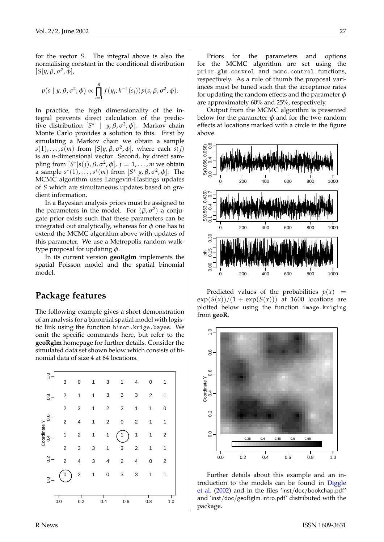<span id="page-26-0"></span>for the vector *S*. The integral above is also the normalising constant in the conditional distribution  $[S|y, \beta, \sigma^2, \phi],$ 

$$
p(s | y, \beta, \sigma^2, \phi) \propto \prod_{i=1}^n f(y_i; h^{-1}(s_i)) p(s; \beta, \sigma^2, \phi).
$$

In practice, the high dimensionality of the integral prevents direct calculation of the predictive distribution  $[S^* | y, \beta, \sigma^2, \phi]$ . Markov chain Monte Carlo provides a solution to this. First by simulating a Markov chain we obtain a sample  $s(1), \ldots, s(m)$  from  $[S|y, \beta, \sigma^2, \phi]$ , where each  $s(j)$ is an *n*-dimensional vector. Second, by direct sampling from  $[S^*|s(j), \beta, σ^2, φ]$ ,  $j = 1, ..., m$  we obtain a sample  $s^*(1)$ , ...,  $s^*(m)$  from  $[S^*|y, \beta, \sigma^2, \phi]$ . The MCMC algorithm uses Langevin-Hastings updates of *S* which are simultaneous updates based on gradient information.

In a Bayesian analysis priors must be assigned to the parameters in the model. For  $(\beta, \sigma^2)$  a conjugate prior exists such that these parameters can be integrated out analytically, whereas for  $\phi$  one has to extend the MCMC algorithm above with updates of this parameter. We use a Metropolis random walktype proposal for updating  $\phi$ .

In its current version **geoRglm** implements the spatial Poisson model and the spatial binomial model.

#### **Package features**

The following example gives a short demonstration of an analysis for a binomial spatial model with logistic link using the function binom.krige.bayes. We omit the specific commands here, but refer to the **geoRglm** homepage for further details. Consider the simulated data set shown below which consists of binomial data of size 4 at 64 locations.



Priors for the parameters and options for the MCMC algorithm are set using the prior.glm.control and mcmc.control functions, respectively. As a rule of thumb the proposal variances must be tuned such that the acceptance rates for updating the random effects and the parameter  $\phi$ are approximately 60% and 25%, respectively.

Output from the MCMC algorithm is presented below for the parameter  $\phi$  and for the two random effects at locations marked with a circle in the figure above.



Predicted values of the probabilities  $p(x)$  =  $\exp(S(x))/(1 + \exp(S(x)))$  at 1600 locations are plotted below using the function image.kriging from **geoR**.



Further details about this example and an introduction to the models can be found in [Diggle](#page-27-5) [et al.](#page-27-5) [\(2002\)](#page-27-5) and in the files 'inst/doc/bookchap.pdf' and 'inst/doc/geoRglm.intro.pdf' distributed with the package.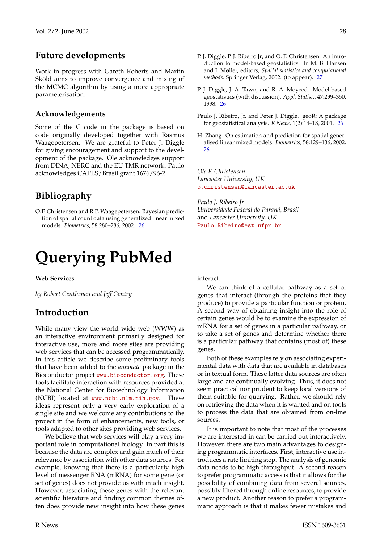## **Future developments**

Work in progress with Gareth Roberts and Martin Sköld aims to improve convergence and mixing of the MCMC algorithm by using a more appropriate parameterisation.

#### **Acknowledgements**

Some of the C code in the package is based on code originally developed together with Rasmus Waagepetersen. We are grateful to Peter J. Diggle for giving encouragement and support to the development of the package. Ole acknowledges support from DINA, NERC and the EU TMR network. Paulo acknowledges CAPES/Brasil grant 1676/96-2.

# **Bibliography**

<span id="page-27-4"></span>O.F. Christensen and R.P. Waagepetersen. Bayesian prediction of spatial count data using generalized linear mixed models. *Biometrics*, 58:280–286, 2002. [26](#page-25-2)

# **Querying PubMed**

<span id="page-27-0"></span>**Web Services**

*by Robert Gentleman and Jeff Gentry*

## **Introduction**

While many view the world wide web (WWW) as an interactive environment primarily designed for interactive use, more and more sites are providing web services that can be accessed programmatically. In this article we describe some preliminary tools that have been added to the *annotate* package in the Bioconductor project <www.bioconductor.org>. These tools facilitate interaction with resources provided at the National Center for Biotechnology Information (NCBI) located at <www.ncbi.nlm.nih.gov>. These ideas represent only a very early exploration of a single site and we welcome any contributions to the project in the form of enhancements, new tools, or tools adapted to other sites providing web services.

We believe that web services will play a very important role in computational biology. In part this is because the data are complex and gain much of their relevance by association with other data sources. For example, knowing that there is a particularly high level of messenger RNA (mRNA) for some gene (or set of genes) does not provide us with much insight. However, associating these genes with the relevant scientific literature and finding common themes often does provide new insight into how these genes

- <span id="page-27-5"></span>P. J. Diggle, P. J. Ribeiro Jr, and O. F. Christensen. An introduction to model-based geostatistics. In M. B. Hansen and J. Møller, editors, *Spatial statistics and computational methods*. Springer Verlag, 2002. (to appear). [27](#page-26-0)
- <span id="page-27-2"></span>P. J. Diggle, J. A. Tawn, and R. A. Moyeed. Model-based geostatistics (with discussion). *Appl. Statist.*, 47:299–350, 1998. [26](#page-25-2)
- <span id="page-27-1"></span>Paulo J. Ribeiro, Jr. and Peter J. Diggle. geoR: A package for geostatistical analysis. *R News*, 1(2):14–18, 2001. [26](#page-25-2)
- <span id="page-27-3"></span>H. Zhang. On estimation and prediction for spatial generalised linear mixed models. *Biometrics*, 58:129–136, 2002. [26](#page-25-2)

*Ole F. Christensen Lancaster University, UK* [o.christensen@lancaster.ac.uk](mailto:o.christensen@lancaster.ac.uk)

*Paulo J. Ribeiro Jr Universidade Federal do Paraná, Brasil* and *Lancaster University, UK* [Paulo.Ribeiro@est.ufpr.br](mailto:Paulo.Ribeiro@est.ufpr.br)

#### interact.

We can think of a cellular pathway as a set of genes that interact (through the proteins that they produce) to provide a particular function or protein. A second way of obtaining insight into the role of certain genes would be to examine the expression of mRNA for a set of genes in a particular pathway, or to take a set of genes and determine whether there is a particular pathway that contains (most of) these genes.

Both of these examples rely on associating experimental data with data that are available in databases or in textual form. These latter data sources are often large and are continually evolving. Thus, it does not seem practical nor prudent to keep local versions of them suitable for querying. Rather, we should rely on retrieving the data when it is wanted and on tools to process the data that are obtained from on-line sources.

It is important to note that most of the processes we are interested in can be carried out interactively. However, there are two main advantages to designing programmatic interfaces. First, interactive use introduces a rate limiting step. The analysis of genomic data needs to be high throughput. A second reason to prefer programmatic access is that it allows for the possibility of combining data from several sources, possibly filtered through online resources, to provide a new product. Another reason to prefer a programmatic approach is that it makes fewer mistakes and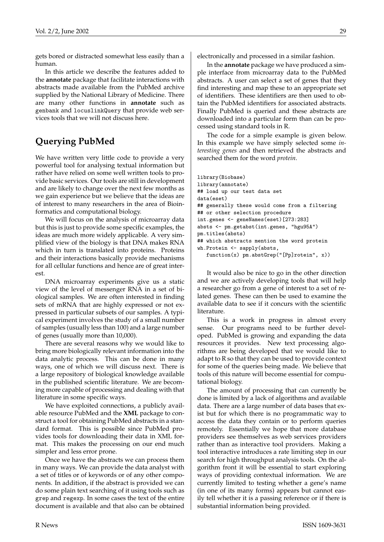gets bored or distracted somewhat less easily than a human.

In this article we describe the features added to the **annotate** package that facilitate interactions with abstracts made available from the PubMed archive supplied by the National Library of Medicine. There are many other functions in **annotate** such as genbank and locuslinkQuery that provide web services tools that we will not discuss here.

# **Querying PubMed**

We have written very little code to provide a very powerful tool for analysing textual information but rather have relied on some well written tools to provide basic services. Our tools are still in development and are likely to change over the next few months as we gain experience but we believe that the ideas are of interest to many researchers in the area of Bioinformatics and computational biology.

We will focus on the analysis of microarray data but this is just to provide some specific examples, the ideas are much more widely applicable. A very simplified view of the biology is that DNA makes RNA which in turn is translated into proteins. Proteins and their interactions basically provide mechanisms for all cellular functions and hence are of great interest.

DNA microarray experiments give us a static view of the level of messenger RNA in a set of biological samples. We are often interested in finding sets of mRNA that are highly expressed or not expressed in particular subsets of our samples. A typical experiment involves the study of a small number of samples (usually less than 100) and a large number of genes (usually more than 10,000).

There are several reasons why we would like to bring more biologically relevant information into the data analytic process. This can be done in many ways, one of which we will discuss next. There is a large repository of biological knowledge available in the published scientific literature. We are becoming more capable of processing and dealing with that literature in some specific ways.

We have exploited connections, a publicly available resource PubMed and the **XML** package to construct a tool for obtaining PubMed abstracts in a standard format. This is possible since PubMed provides tools for downloading their data in XML format. This makes the processing on our end much simpler and less error prone.

Once we have the abstracts we can process them in many ways. We can provide the data analyst with a set of titles or of keywords or of any other components. In addition, if the abstract is provided we can do some plain text searching of it using tools such as grep and regexp. In some cases the text of the entire document is available and that also can be obtained

electronically and processed in a similar fashion.

In the **annotate** package we have produced a simple interface from microarray data to the PubMed abstracts. A user can select a set of genes that they find interesting and map these to an appropriate set of identifiers. These identifiers are then used to obtain the PubMed identifiers for associated abstracts. Finally PubMed is queried and these abstracts are downloaded into a particular form than can be processed using standard tools in R.

The code for a simple example is given below. In this example we have simply selected some *interesting genes* and then retrieved the abstracts and searched them for the word *protein*.

```
library(Biobase)
library(annotate)
## load up our test data set
data(eset)
## generally these would come from a filtering
## or other selection procedure
int.genes <- geneNames(eset)[273:283]
absts <- pm.getabst(int.genes, "hgu95A")
pm.titles(absts)
## which abstracts mention the word protein
wh.Protein <- sapply(absts,
   function(x) pm.abstGrep("[Pp]rotein", x))
```
It would also be nice to go in the other direction and we are actively developing tools that will help a researcher go from a gene of interest to a set of related genes. These can then be used to examine the available data to see if it concurs with the scientific literature.

This is a work in progress in almost every sense. Our programs need to be further developed. PubMed is growing and expanding the data resources it provides. New text processing algorithms are being developed that we would like to adapt to R so that they can be used to provide context for some of the queries being made. We believe that tools of this nature will become essential for computational biology.

The amount of processing that can currently be done is limited by a lack of algorithms and available data. There are a large number of data bases that exist but for which there is no programmatic way to access the data they contain or to perform queries remotely. Essentially we hope that more database providers see themselves as web services providers rather than as interactive tool providers. Making a tool interactive introduces a rate limiting step in our search for high throughput analysis tools. On the algorithm front it will be essential to start exploring ways of providing contextual information. We are currently limited to testing whether a gene's name (in one of its many forms) appears but cannot easily tell whether it is a passing reference or if there is substantial information being provided.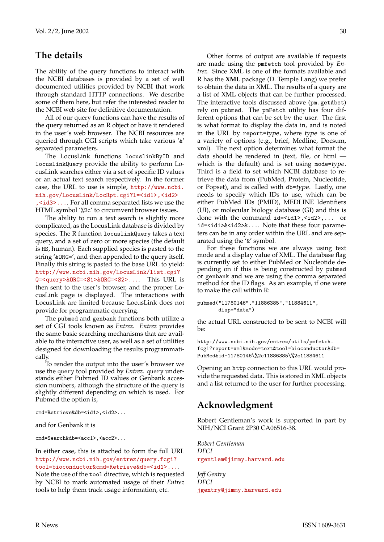## **The details**

The ability of the query functions to interact with the NCBI databases is provided by a set of well documented utilities provided by NCBI that work through standard HTTP connections. We describe some of them here, but refer the interested reader to the NCBI web site for definitive documentation.

All of our query functions can have the results of the query returned as an R object or have it rendered in the user's web browser. The NCBI resources are queried through CGI scripts which take various '&' separated parameters.

The LocusLink functions locuslinkByID and locuslinkQuery provide the ability to perform LocusLink searches either via a set of specific ID values or an actual text search respectively. In the former case, the URL to use is simple, [http://www.ncbi.](http://www.ncbi.nih.gov/LocusLink/LocRpt.cgi?l=<id1>,<id2>,<id3>...) [nih.gov/LocusLink/LocRpt.cgi?l=<id1>,<id2>](http://www.ncbi.nih.gov/LocusLink/LocRpt.cgi?l=<id1>,<id2>,<id3>...) [,<id3>...](http://www.ncbi.nih.gov/LocusLink/LocRpt.cgi?l=<id1>,<id2>,<id3>...). For all comma separated lists we use the HTML symbol '%2c' to circumvent browser issues.

The ability to run a text search is slightly more complicated, as the LocusLink database is divided by species. The R function locuslinkQuery takes a text query, and a set of zero or more species (the default is HS, human). Each supplied species is pasted to the string '&ORG=', and then appended to the query itself. Finally this string is pasted to the base URL to yield: [http://www.ncbi.nih.gov/LocusLink/list.cgi?](http://www.ncbi.nih.gov/LocusLink/list.cgi?Q=<query>&ORG=<S1>&ORG=<S2>...) [Q=<query>&ORG=<S1>&ORG=<S2>...](http://www.ncbi.nih.gov/LocusLink/list.cgi?Q=<query>&ORG=<S1>&ORG=<S2>...). This URL is then sent to the user's browser, and the proper LocusLink page is displayed. The interactions with LocusLink are limited because LocusLink does not provide for programmatic querying.

The pubmed and genbank functions both utilize a set of CGI tools known as *Entrez*. *Entrez* provides the same basic searching mechanisms that are available to the interactive user, as well as a set of utilities designed for downloading the results programmatically.

To render the output into the user's browser we use the query tool provided by *Entrez*. query understands either Pubmed ID values or Genbank accession numbers, although the structure of the query is slightly different depending on which is used. For Pubmed the option is,

cmd=Retrieve&db=<id1>,<id2>...

and for Genbank it is

cmd=Search&db=<acc1>,<acc2>...

#### In either case, this is attached to form the full URL [http://www.ncbi.nih.gov/entrez/query.fcgi?](http://www.ncbi.nih.gov/entrez/query.fcgi?tool=bioconductor&cmd=Retrieve&db=<id1>...) [tool=bioconductor&cmd=Retrieve&db=<id1>...](http://www.ncbi.nih.gov/entrez/query.fcgi?tool=bioconductor&cmd=Retrieve&db=<id1>...).

Note the use of the tool directive, which is requested by NCBI to mark automated usage of their *Entrez* tools to help them track usage information, etc.

Other forms of output are available if requests are made using the pmfetch tool provided by *Entrez*. Since XML is one of the formats available and R has the **XML** package (D. Temple Lang) we prefer to obtain the data in XML. The results of a query are a list of XML objects that can be further processed. The interactive tools discussed above (pm.getAbst) rely on pubmed. The pmFetch utility has four different options that can be set by the user. The first is what format to display the data in, and is noted in the URL by report=type, where type is one of a variety of options (e.g., brief, Medline, Docsum, xml). The next option determines what format the data should be rendered in (text, file, or html which is the default) and is set using mode=type. Third is a field to set which NCBI database to retrieve the data from (PubMed, Protein, Nucleotide, or Popset), and is called with db=type. Lastly, one needs to specify which IDs to use, which can be either PubMed IDs (PMID), MEDLINE Identifiers (UI), or molecular biology database (GI) and this is done with the command  $id=\text{id1} > \text{id2} > \dots$  or id=<id1>&<id2>&.... Note that these four parameters can be in any order within the URL and are separated using the '&' symbol.

For these functions we are always using text mode and a display value of XML. The database flag is currently set to either PubMed or Nucleotide depending on if this is being constructed by pubmed or genbank and we are using the comma separated method for the ID flags. As an example, if one were to make the call within R:

```
pubmed("11780146","11886385","11884611",
       disp="data")
```
the actual URL constructed to be sent to NCBI will  $he$ 

http://www.ncbi.nih.gov/entrez/utils/pmfetch. fcgi?report=xml&mode=text&tool=bioconductor&db= PubMed&id=11780146\%2c11886385\%2c11884611

Opening an http connection to this URL would provide the requested data. This is stored in XML objects and a list returned to the user for further processing.

# **Acknowledgment**

Robert Gentleman's work is supported in part by NIH/NCI Grant 2P30 CA06516-38.

*Robert Gentleman DFCI* [rgentlem@jimmy.harvard.edu](mailto:rgentlem@jimmy.harvard.edu)

*Jeff Gentry DFCI* [jgentry@jimmy.harvard.edu](mailto:jgentry@jimmy.harvard.edu)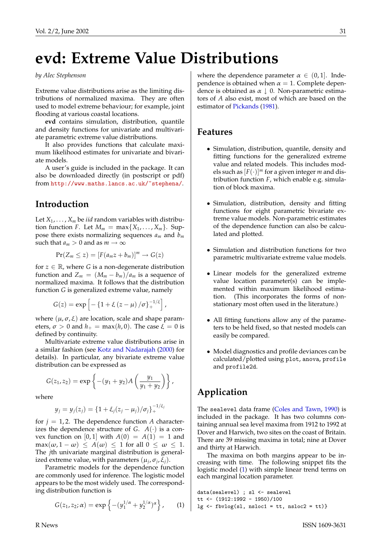# <span id="page-30-2"></span>**evd: Extreme Value Distributions**

#### <span id="page-30-0"></span>*by Alec Stephenson*

Extreme value distributions arise as the limiting distributions of normalized maxima. They are often used to model extreme behaviour; for example, joint flooding at various coastal locations.

**evd** contains simulation, distribution, quantile and density functions for univariate and multivariate parametric extreme value distributions.

It also provides functions that calculate maximum likelihood estimates for univariate and bivariate models.

A user's guide is included in the package. It can also be downloaded directly (in postscript or pdf) from <http://www.maths.lancs.ac.uk/~stephena/>.

### **Introduction**

Let  $X_1, \ldots, X_m$  be *iid* random variables with distribution function *F*. Let  $M_m = \max\{X_1, \ldots, X_m\}$ . Suppose there exists normalizing sequences *a<sup>m</sup>* and *b<sup>m</sup>* such that  $a_m > 0$  and as  $m \to \infty$ 

$$
Pr(Z_m \leq z) = [F(a_m z + b_m)]^m \rightarrow G(z)
$$

for  $z \in \mathbb{R}$ , where *G* is a non-degenerate distribution function and  $Z_m = (M_m - b_m)/a_m$  is a sequence of normalized maxima. It follows that the distribution function *G* is generalized extreme value, namely

$$
G(z) = \exp \left[ -\left\{1 + \xi \left(z - \mu\right) / \sigma \right\}^{-1/\xi}_{+} \right],
$$

where  $(\mu, \sigma, \xi)$  are location, scale and shape parameters,  $\sigma > 0$  and  $h_+ = \max(h, 0)$ . The case  $\xi = 0$  is defined by continuity.

Multivariate extreme value distributions arise in a similar fashion (see [Kotz and Nadarajah](#page-31-0) [\(2000\)](#page-31-0) for details). In particular, any bivariate extreme value distribution can be expressed as

$$
G(z_1, z_2) = \exp \left\{ -(y_1 + y_2) A \left( \frac{y_1}{y_1 + y_2} \right) \right\},
$$

where

$$
y_j = y_j(z_j) = \{1 + \xi_j(z_j - \mu_j)/\sigma_j\}_{+}^{-1/\xi_j}
$$

for  $j = 1, 2$ . The dependence function *A* characterizes the dependence structure of *G*.  $A(\cdot)$  is a convex function on [0, 1] with  $A(0) = A(1) = 1$  and  $\max(\omega, 1 - \omega) \leq A(\omega) \leq 1$  for all  $0 \leq \omega \leq 1$ . The *j*th univariate marginal distribution is generalized extreme value, with parameters  $(\mu_j, \sigma_j, \xi_j)$ .

Parametric models for the dependence function are commonly used for inference. The logistic model appears to be the most widely used. The corresponding distribution function is

<span id="page-30-1"></span>
$$
G(z_1, z_2; \alpha) = \exp \left\{ -(y_1^{1/\alpha} + y_2^{1/\alpha})^{\alpha} \right\}, \quad (1)
$$

where the dependence parameter  $\alpha \in (0,1]$ . Independence is obtained when  $\alpha = 1$ . Complete dependence is obtained as  $\alpha \downarrow 0$ . Non-parametric estimators of *A* also exist, most of which are based on the estimator of [Pickands](#page-31-1) [\(1981\)](#page-31-1).

### **Features**

- Simulation, distribution, quantile, density and fitting functions for the generalized extreme value and related models. This includes models such as  $[F(\cdot)]^m$  for a given integer *m* and distribution function *F*, which enable e.g. simulation of block maxima.
- Simulation, distribution, density and fitting functions for eight parametric bivariate extreme value models. Non-parametric estimates of the dependence function can also be calculated and plotted.
- Simulation and distribution functions for two parametric multivariate extreme value models.
- Linear models for the generalized extreme value location parameter(s) can be implemented within maximum likelihood estimation. (This incorporates the forms of nonstationary most often used in the literature.)
- All fitting functions allow any of the parameters to be held fixed, so that nested models can easily be compared.
- Model diagnostics and profile deviances can be calculated/plotted using plot, anova, profile and profile2d.

# **Application**

The sealevel data frame [\(Coles and Tawn,](#page-31-2) [1990\)](#page-31-2) is included in the package. It has two columns containing annual sea level maxima from 1912 to 1992 at Dover and Harwich, two sites on the coast of Britain. There are 39 missing maxima in total; nine at Dover and thirty at Harwich.

The maxima on both margins appear to be increasing with time. The following snippet fits the logistic model [\(1\)](#page-30-1) with simple linear trend terms on each marginal location parameter.

```
data(sealevel) ; sl <- sealevel
tt <- (1912:1992 - 1950)/100
lg \leftarrow fbvlog(sl, nshol = tt, nshol = tt)
```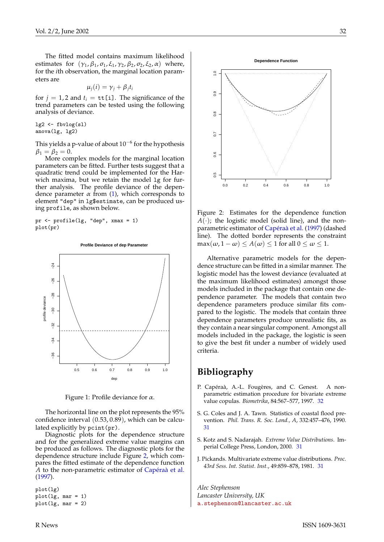<span id="page-31-5"></span>The fitted model contains maximum likelihood estimates for  $(\gamma_1, \beta_1, \sigma_1, \xi_1, \gamma_2, \beta_2, \sigma_2, \xi_2, \alpha)$  where, for the *i*th observation, the marginal location parameters are

$$
\mu_j(i) = \gamma_j + \beta_j t_i
$$

for  $j = 1, 2$  and  $t_i = \text{tt}[i]$ . The significance of the trend parameters can be tested using the following analysis of deviance.

 $lg2 \leftarrow fbvlog(s1)$ anova(lg, lg2)

This yields a p-value of about  $10^{-6}$  for the hypothesis  $\beta_1 = \beta_2 = 0.$ 

More complex models for the marginal location parameters can be fitted. Further tests suggest that a quadratic trend could be implemented for the Harwich maxima, but we retain the model 1g for further analysis. The profile deviance of the dependence parameter  $\alpha$  from [\(1\)](#page-30-1), which corresponds to element "dep" in lg\$estimate, can be produced using profile, as shown below.

pr <- profile(lg, "dep", xmax = 1) plot(pr)



Figure 1: Profile deviance for  $\alpha$ .

The horizontal line on the plot represents the 95% confidence interval (0.53, 0.89), which can be calculated explicitly by pcint(pr).

Diagnostic plots for the dependence structure and for the generalized extreme value margins can be produced as follows. The diagnostic plots for the dependence structure include Figure [2,](#page-31-3) which compares the fitted estimate of the dependence function *A* to the non-parametric estimator of [Capéraà et al.](#page-31-4) [\(1997\)](#page-31-4).

plot(lg)  $plot(lg, mar = 1)$  $plot(lg, mar = 2)$ 



Figure 2: Estimates for the dependence function  $A(\cdot)$ ; the logistic model (solid line), and the nonparametric estimator of [Capéraà et al.](#page-31-4) [\(1997\)](#page-31-4) (dashed line). The dotted border represents the constraint  $\max(\omega, 1 - \omega) \le A(\omega) \le 1$  for all  $0 \le \omega \le 1$ .

<span id="page-31-3"></span>0.0 0.2 0.4 0.6 0.8 1.0

Alternative parametric models for the dependence structure can be fitted in a similar manner. The logistic model has the lowest deviance (evaluated at the maximum likelihood estimates) amongst those models included in the package that contain one dependence parameter. The models that contain two dependence parameters produce similar fits compared to the logistic. The models that contain three dependence parameters produce unrealistic fits, as they contain a near singular component. Amongst all models included in the package, the logistic is seen to give the best fit under a number of widely used criteria.

### **Bibliography**

0.5 0.6 0.7 0.8 0.9 1.0

 $\overline{0}$ 

8.0

 $0.5$ 

 $0.8$ 

 $\tilde{a}$ 

 $0.9$ 

- <span id="page-31-4"></span>P. Capéraà, A.-L. Fougères, and C. Genest. A nonparametric estimation procedure for bivariate extreme value copulas. *Biometrika*, 84:567–577, 1997. [32](#page-31-5)
- <span id="page-31-2"></span>S. G. Coles and J. A. Tawn. Statistics of coastal flood prevention. *Phil. Trans. R. Soc. Lond., A*, 332:457–476, 1990. [31](#page-30-2)
- <span id="page-31-0"></span>S. Kotz and S. Nadarajah. *Extreme Value Distributions*. Imperial College Press, London, 2000. [31](#page-30-2)
- <span id="page-31-1"></span>J. Pickands. Multivariate extreme value distributions. *Proc. 43rd Sess. Int. Statist. Inst.*, 49:859–878, 1981. [31](#page-30-2)

*Alec Stephenson Lancaster University, UK* [a.stephenson@lancaster.ac.uk](mailto:a.stephenson@lancaster.ac.uk)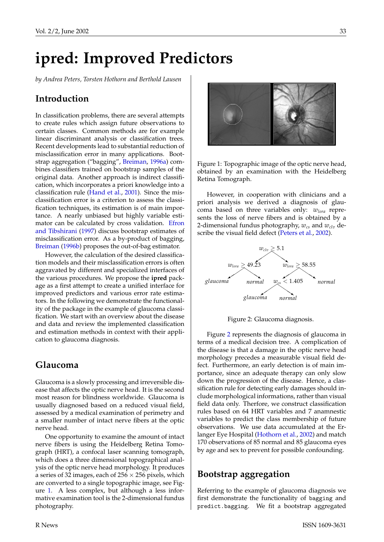# <span id="page-32-3"></span>**ipred: Improved Predictors**

<span id="page-32-0"></span>*by Andrea Peters, Torsten Hothorn and Berthold Lausen*

## **Introduction**

In classification problems, there are several attempts to create rules which assign future observations to certain classes. Common methods are for example linear discriminant analysis or classification trees. Recent developments lead to substantial reduction of misclassification error in many applications. Bootstrap aggregation ("bagging", [Breiman,](#page-35-1) [1996a\)](#page-35-1) combines classifiers trained on bootstrap samples of the original data. Another approach is indirect classification, which incorporates a priori knowledge into a classification rule [\(Hand et al.,](#page-35-2) [2001\)](#page-35-2). Since the misclassification error is a criterion to assess the classification techniques, its estimation is of main importance. A nearly unbiased but highly variable estimator can be calculated by cross validation. [Efron](#page-35-3) [and Tibshirani](#page-35-3) [\(1997\)](#page-35-3) discuss bootstrap estimates of misclassification error. As a by-product of bagging, [Breiman](#page-35-4) [\(1996b\)](#page-35-4) proposes the out-of-bag estimator.

However, the calculation of the desired classification models and their misclassification errors is often aggravated by different and specialized interfaces of the various procedures. We propose the **ipred** package as a first attempt to create a unified interface for improved predictors and various error rate estimators. In the following we demonstrate the functionality of the package in the example of glaucoma classification. We start with an overview about the disease and data and review the implemented classification and estimation methods in context with their application to glaucoma diagnosis.

### **Glaucoma**

Glaucoma is a slowly processing and irreversible disease that affects the optic nerve head. It is the second most reason for blindness worldwide. Glaucoma is usually diagnosed based on a reduced visual field, assessed by a medical examination of perimetry and a smaller number of intact nerve fibers at the optic nerve head.

One opportunity to examine the amount of intact nerve fibers is using the Heidelberg Retina Tomograph (HRT), a confocal laser scanning tomograph, which does a three dimensional topographical analysis of the optic nerve head morphology. It produces a series of 32 images, each of  $256 \times 256$  pixels, which are converted to a single topographic image, see Figure [1.](#page-32-1) A less complex, but although a less informative examination tool is the 2-dimensional fundus photography.



<span id="page-32-1"></span>Figure 1: Topographic image of the optic nerve head, obtained by an examination with the Heidelberg Retina Tomograph.

However, in cooperation with clinicians and a priori analysis we derived a diagnosis of glaucoma based on three variables only: *wlora* represents the loss of nerve fibers and is obtained by a 2-dimensional fundus photography,  $w_{cs}$  and  $w_{cls}$  describe the visual field defect [\(Peters et al.,](#page-35-5) [2002\)](#page-35-5).



<span id="page-32-2"></span>Figure 2: Glaucoma diagnosis.

Figure [2](#page-32-2) represents the diagnosis of glaucoma in terms of a medical decision tree. A complication of the disease is that a damage in the optic nerve head morphology precedes a measurable visual field defect. Furthermore, an early detection is of main importance, since an adequate therapy can only slow down the progression of the disease. Hence, a classification rule for detecting early damages should include morphological informations, rather than visual field data only. Therfore, we construct classification rules based on 64 HRT variables and 7 anamnestic variables to predict the class membership of future observations. We use data accumulated at the Erlanger Eye Hospital [\(Hothorn et al.,](#page-35-6) [2002\)](#page-35-6) and match 170 observations of 85 normal and 85 glaucoma eyes by age and sex to prevent for possible confounding.

#### **Bootstrap aggregation**

Referring to the example of glaucoma diagnosis we first demonstrate the functionality of bagging and predict.bagging. We fit a bootstrap aggregated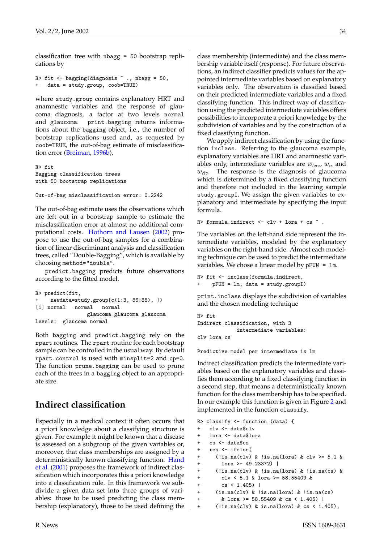<span id="page-33-0"></span>classification tree with nbagg = 50 bootstrap replications by

```
R> fit \leq bagging (diagnosis \sim ., nbagg = 50,
+ data = study.group, coob=TRUE)
```
where study.group contains explanatory HRT and anamnestic variables and the response of glaucoma diagnosis, a factor at two levels normal and glaucoma. print.bagging returns informations about the bagging object, i.e., the number of bootstrap replications used and, as requested by coob=TRUE, the out-of-bag estimate of misclassification error [\(Breiman,](#page-35-4) [1996b\)](#page-35-4).

```
R> fit
Bagging classification trees
with 50 bootstrap replications
```

```
Out-of-bag misclassification error: 0.2242
```
The out-of-bag estimate uses the observations which are left out in a bootstrap sample to estimate the misclassification error at almost no additional computational costs. [Hothorn and Lausen](#page-35-7) [\(2002\)](#page-35-7) propose to use the out-of-bag samples for a combination of linear discriminant analysis and classification trees, called "Double-Bagging", which is available by choosing method="double".

predict.bagging predicts future observations according to the fitted model.

```
R> predict(fit,
    newdata=study.group[c(1:3, 86:88), ])
[1] normal normal normal
                glaucoma glaucoma glaucoma
Levels: glaucoma normal
```
Both bagging and predict.bagging rely on the rpart routines. The rpart routine for each bootstrap sample can be controlled in the usual way. By default rpart.control is used with minsplit=2 and cp=0. The function prune.bagging can be used to prune each of the trees in a bagging object to an appropriate size.

# **Indirect classification**

Especially in a medical context it often occurs that a priori knowledge about a classifying structure is given. For example it might be known that a disease is assessed on a subgroup of the given variables or, moreover, that class memberships are assigned by a deterministically known classifying function. [Hand](#page-35-2) [et al.](#page-35-2) [\(2001\)](#page-35-2) proposes the framework of indirect classification which incorporates this a priori knowledge into a classification rule. In this framework we subdivide a given data set into three groups of variables: those to be used predicting the class membership (explanatory), those to be used defining the

class membership (intermediate) and the class membership variable itself (response). For future observations, an indirect classifier predicts values for the appointed intermediate variables based on explanatory variables only. The observation is classified based on their predicted intermediate variables and a fixed classifying function. This indirect way of classification using the predicted intermediate variables offers possibilities to incorporate a priori knowledge by the subdivision of variables and by the construction of a fixed classifying function.

We apply indirect classification by using the function inclass. Referring to the glaucoma example, explanatory variables are HRT and anamnestic variables only, intermediate variables are *wlora*, *wcs* and *wclv*. The response is the diagnosis of glaucoma which is determined by a fixed classifying function and therefore not included in the learning sample study.groupI. We assign the given variables to explanatory and intermediate by specifying the input formula.

```
R> formula.indirect <- clv + lora + cs \tilde{ }.
```
The variables on the left-hand side represent the intermediate variables, modeled by the explanatory variables on the right-hand side. Almost each modeling technique can be used to predict the intermediate variables. We chose a linear model by pFUN = lm.

```
R> fit <- inclass(formula.indirect,
    pFW = lm, data = study.groupI)
```
print.inclass displays the subdivision of variables and the chosen modeling technique

```
R> fit
Indirect classification, with 3
             intermediate variables:
clv lora cs
```
Predictive model per intermediate is lm

Indirect classification predicts the intermediate variables based on the explanatory variables and classifies them according to a fixed classifying function in a second step, that means a deterministically known function for the class membership has to be specified. In our example this function is given in Figure [2](#page-32-2) and implemented in the function classify.

```
R> classify <- function (data) {
+ clv <- data$clv
+ lora <- data$lora
   cs <- data$cs
   res <- ifelse(
+ (!is.na(clv) & !is.na(lora) & clv >= 5.1 &
+ lora >= 49.23372) |
+ (!is.na(clv) & !is.na(lora) & !is.na(cs) &
+ clv < 5.1 & lora >= 58.55409 &
+ cs < 1.405 |<br>+ (is \, \text{na} (c1y) \, k \, !)(is.na(clv) & !is.na(lora) & !is.na(cs)+ & lora >= 58.55409 & cs < 1.405) |
+ (!is.na(clv) & is.na(lora) & cs < 1.405),
```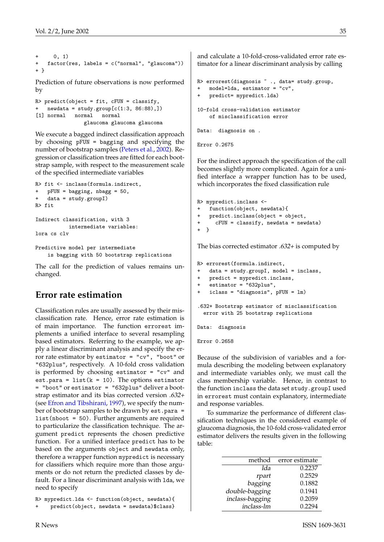```
+ 0, 1)
   factor(res, labels = c("normal", "glaucoma"))+ }
```
Prediction of future observations is now performed by

```
R> predict(object = fit, cFUN = classify,
+ newdata = study.group[c(1:3, 86:88),])
[1] normal normal normal
               glaucoma glaucoma glaucoma
```
We execute a bagged indirect classification approach by choosing pFUN = bagging and specifying the number of bootstrap samples [\(Peters et al.,](#page-35-5) [2002\)](#page-35-5). Regression or classification trees are fitted for each bootstrap sample, with respect to the measurement scale of the specified intermediate variables

```
R> fit <- inclass(formula.indirect,
   pFUN = bagging, nbagg = 50,
   data = study.groupI)R> fit
Indirect classification, with 3
          intermediate variables:
lora cs clv
```

```
Predictive model per intermediate
    is bagging with 50 bootstrap replications
```
The call for the prediction of values remains unchanged.

## **Error rate estimation**

Classification rules are usually assessed by their misclassification rate. Hence, error rate estimation is of main importance. The function errorest implements a unified interface to several resampling based estimators. Referring to the example, we apply a linear discriminant analysis and specify the error rate estimator by estimator = "cv", "boot" or "632plus", respectively. A 10-fold cross validation is performed by choosing estimator = "cv" and est.para =  $list(k = 10)$ . The options estimator = "boot" or estimator = "632plus" deliver a bootstrap estimator and its bias corrected version .632+ (see [Efron and Tibshirani,](#page-35-3) [1997\)](#page-35-3), we specify the number of bootstrap samples to be drawn by est.para = list(nboot = 50). Further arguments are required to particularize the classification technique. The argument predict represents the chosen predictive function. For a unified interface predict has to be based on the arguments object and newdata only, therefore a wrapper function mypredict is necessary for classifiers which require more than those arguments or do not return the predicted classes by default. For a linear discriminant analysis with lda, we need to specify

```
R> mypredict.lda <- function(object, newdata){
```

```
predict(object, newdata = newdata)$class}
```
and calculate a 10-fold-cross-validated error rate estimator for a linear discriminant analysis by calling

```
R> errorest(diagnosis ~ ., data= study.group,
   model=Ida, estimator = "cv",
   predict= mypredict.lda)
10-fold cross-validation estimator
   of misclassification error
```

```
Data: diagnosis on .
```

```
Error 0.2675
```
For the indirect approach the specification of the call becomes slightly more complicated. Again for a unified interface a wrapper function has to be used, which incorporates the fixed classification rule

```
R> mypredict.inclass <-
+ function(object, newdata){
+ predict.inclass(object = object,
+ cFUN = classify, newdata = newdata)
\overline{+}
```
The bias corrected estimator  $.632 +$  is computed by

R> errorest(formula.indirect,

```
+ data = study.groupI, model = inclass,
```

```
+ predict = mypredict.inclass,
```

```
+ estimator = "632plus",
```

```
+ iclass = "diagnosis", pFUN = lm)
```
.632+ Bootstrap estimator of misclassification error with 25 bootstrap replications

Data: diagnosis

Error 0.2658

Because of the subdivision of variables and a formula describing the modeling between explanatory and intermediate variables only, we must call the class membership variable. Hence, in contrast to the function inclass the data set study.groupI used in errorest must contain explanatory, intermediate and response variables.

To summarize the performance of different classification techniques in the considered example of glaucoma diagnosis, the 10-fold cross-validated error estimator delivers the results given in the following table:

| method          | error estimate |
|-----------------|----------------|
| lda             | 0.2237         |
| rpart           | 0.2529         |
| bagging         | 0.1882         |
| double-bagging  | 0.1941         |
| inclass-bagging | 0.2059         |
| inclass-lm      | 0.2294         |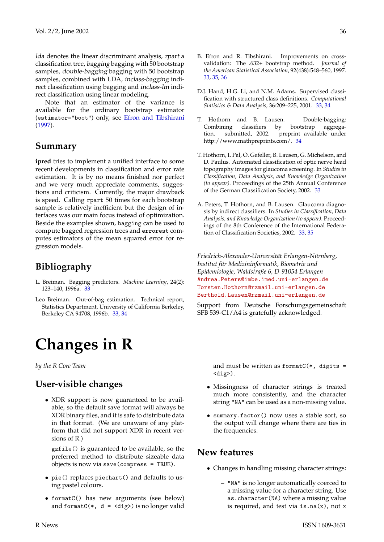<span id="page-35-8"></span>lda denotes the linear discriminant analysis, rpart a classification tree, bagging bagging with 50 bootstrap samples, double-bagging bagging with 50 bootstrap samples, combined with LDA, inclass-bagging indirect classification using bagging and inclass-lm indirect classification using linear modeling.

Note that an estimator of the variance is available for the ordinary bootstrap estimator (estimator="boot") only, see [Efron and Tibshirani](#page-35-3) [\(1997\)](#page-35-3).

### **Summary**

**ipred** tries to implement a unified interface to some recent developments in classification and error rate estimation. It is by no means finished nor perfect and we very much appreciate comments, suggestions and criticism. Currently, the major drawback is speed. Calling rpart 50 times for each bootstrap sample is relatively inefficient but the design of interfaces was our main focus instead of optimization. Beside the examples shown, bagging can be used to compute bagged regression trees and errorest computes estimators of the mean squared error for regression models.

## **Bibliography**

- <span id="page-35-1"></span>L. Breiman. Bagging predictors. *Machine Learning*, 24(2): 123–140, 1996a. [33](#page-32-3)
- <span id="page-35-4"></span>Leo Breiman. Out-of-bag estimation. Technical report, Statistics Department, University of California Berkeley, Berkeley CA 94708, 1996b. [33,](#page-32-3) [34](#page-33-0)

# **Changes in R**

<span id="page-35-0"></span>*by the R Core Team*

### **User-visible changes**

• XDR support is now guaranteed to be available, so the default save format will always be XDR binary files, and it is safe to distribute data in that format. (We are unaware of any platform that did not support XDR in recent versions of R.)

gzfile() is guaranteed to be available, so the preferred method to distribute sizeable data objects is now via save(compress = TRUE).

- pie() replaces piechart() and defaults to using pastel colours.
- formatC() has new arguments (see below) and format $C(*, d = \langle dig \rangle)$  is no longer valid
- <span id="page-35-3"></span>B. Efron and R. Tibshirani. Improvements on crossvalidation: The .632+ bootstrap method. *Journal of the American Statistical Association*, 92(438):548–560, 1997. [33,](#page-32-3) [35,](#page-34-0) [36](#page-35-8)
- <span id="page-35-2"></span>D.J. Hand, H.G. Li, and N.M. Adams. Supervised classification with structured class definitions. *Computational Statistics & Data Analysis*, 36:209–225, 2001. [33,](#page-32-3) [34](#page-33-0)
- <span id="page-35-7"></span>T. Hothorn and B. Lausen. Double-bagging: Combining classifiers by bootstrap aggregation. submitted, 2002. preprint available under http://www.mathpreprints.com/. [34](#page-33-0)
- <span id="page-35-6"></span>T. Hothorn, I. Pal, O. Gefeller, B. Lausen, G. Michelson, and D. Paulus. Automated classification of optic nerve head topography images for glaucoma screening. In *Studies in Classification, Data Analysis, and Knowledge Organization (to appear)*. Proceedings of the 25th Annual Conference of the German Classification Society, 2002. [33](#page-32-3)
- <span id="page-35-5"></span>A. Peters, T. Hothorn, and B. Lausen. Glaucoma diagnosis by indirect classifiers. In *Studies in Classification, Data Analysis, and Knowledge Organization (to appear)*. Proceedings of the 8th Conference of the International Federation of Classification Societies, 2002. [33,](#page-32-3) [35](#page-34-0)

*Friedrich-Alexander-Universität Erlangen-Nürnberg, Institut für Medizininformatik, Biometrie und Epidemiologie, Waldstraße 6, D-91054 Erlangen* [Andrea.Peters@imbe.imed.uni-erlangen.de](mailto:Andrea.Peters@imbe.imed.uni-erlangen.de) [Torsten.Hothorn@rzmail.uni-erlangen.de](mailto:Torsten.Hothorn@rzmail.uni-erlangen.de) [Berthold.Lausen@rzmail.uni-erlangen.de](mailto:Berthold.Lausen@rzmail.uni-erlangen.de)

Support from Deutsche Forschungsgemeinschaft SFB 539-C1/A4 is gratefully acknowledged.

> and must be written as  $formatC(*, digits =$  $\langle$ dig> $\rangle$ .

- Missingness of character strings is treated much more consistently, and the character string "NA" can be used as a non-missing value.
- summary.factor() now uses a stable sort, so the output will change where there are ties in the frequencies.

### **New features**

- Changes in handling missing character strings:
	- **–** "NA" is no longer automatically coerced to a missing value for a character string. Use as.character(NA) where a missing value is required, and test via  $is.na(x)$ , not x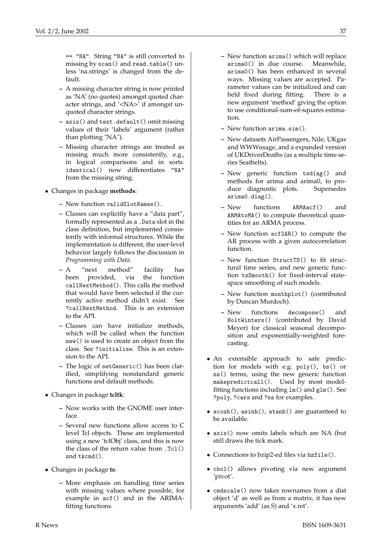== "NA". String "NA" is still converted to missing by scan() and read.table() unless 'na.strings' is changed from the default.

- **–** A missing character string is now printed as 'NA' (no quotes) amongst quoted character strings, and '<NA>' if amongst unquoted character strings.
- **–** axis() and text.default() omit missing values of their 'labels' argument (rather than plotting "NA").
- **–** Missing character strings are treated as missing much more consistently, e.g., in logical comparisons and in sorts. identical() now differentiates "NA" from the missing string.
- Changes in package **methods**:
	- **–** New function validSlotNames().
	- **–** Classes can explicitly have a "data part", formally represented as a .Data slot in the class definition, but implemented consistently with informal structures. While the implementation is different, the user-level behavior largely follows the discussion in *Programming with Data*.
	- **–** A "next method" facility has been provided, via the function callNextMethod(). This calls the method that would have been selected if the currently active method didn't exist. See ?callNextMethod. This is an extension to the API.
	- **–** Classes can have initialize methods, which will be called when the function new() is used to create an object from the class. See ?initialize. This is an extension to the API.
	- **–** The logic of setGeneric() has been clarified, simplifying nonstandard generic functions and default methods.
- Changes in package **tcltk**:
	- **–** Now works with the GNOME user interface.
	- **–** Several new functions allow access to C level Tcl objects. These are implemented using a new 'tclObj' class, and this is now the class of the return value from .Tcl() and tkcmd().
- Changes in package **ts**:
	- **–** More emphasis on handling time series with missing values where possible, for example in acf() and in the ARIMAfitting functions.
- **–** New function arima() which will replace arima0() in due course. Meanwhile, arima0() has been enhanced in several ways. Missing values are accepted. Parameter values can be initialized and can held fixed during fitting. There is a new argument 'method' giving the option to use conditional-sum-of-squares estimation.
- **–** New function arima.sim().
- **–** New datasets AirPassengers, Nile, UKgas and WWWusage, and a expanded version of UKDriverDeaths (as a multiple time series Seatbelts).
- **–** New generic function tsdiag() and methods for arima and arima0, to produce diagnostic plots. Supersedes arima0.diag().
- **–** New functions ARMAacf() and ARMAtoMA() to compute theoretical quantities for an ARMA process.
- **–** New function acf2AR() to compute the AR process with a given autocorrelation function.
- **–** New function StructTS() to fit structural time series, and new generic function tsSmooth() for fixed-interval statespace smoothing of such models.
- **–** New function monthplot() (contributed by Duncan Murdoch).
- **–** New functions decompose() and HoltWinters() (contributed by David Meyer) for classical seasonal decomposition and exponentially-weighted forecasting.
- An extensible approach to safe prediction for models with e.g. poly(), bs() or ns() terms, using the new generic function makepredictcall(). Used by most modelfitting functions including lm() and glm(). See ?poly, ?cars and ?ns for examples.
- acosh(), asinh(), atanh() are guaranteed to be available.
- axis() now omits labels which are NA (but still draws the tick mark.
- Connections to bzip2-ed files via bzfile().
- chol() allows pivoting via new argument 'pivot'.
- cmdscale() now takes rownames from a dist object 'd' as well as from a matrix; it has new arguments 'add' (as S) and 'x.ret'.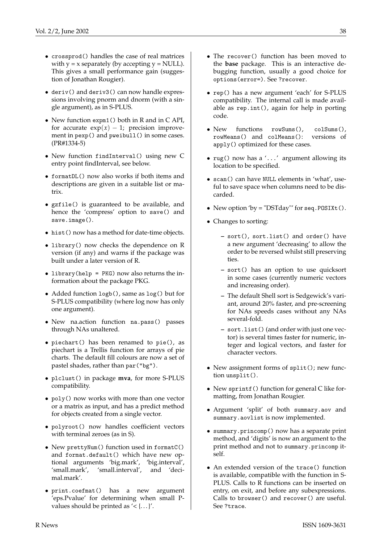- crossprod() handles the case of real matrices with  $y = x$  separately (by accepting  $y = NULL$ ). This gives a small performance gain (suggestion of Jonathan Rougier).
- deriv() and deriv3() can now handle expressions involving pnorm and dnorm (with a single argument), as in S-PLUS.
- New function expm1() both in R and in C API, for accurate  $exp(x) - 1$ ; precision improvement in pexp() and pweibull() in some cases. (PR#1334-5)
- New function findInterval() using new C entry point findInterval, see below.
- formatDL() now also works if both items and descriptions are given in a suitable list or matrix.
- gzfile() is guaranteed to be available, and hence the 'compress' option to save() and save.image().
- hist() now has a method for date-time objects.
- library() now checks the dependence on R version (if any) and warns if the package was built under a later version of R.
- library(help = PKG) now also returns the information about the package PKG.
- Added function logb(), same as log() but for S-PLUS compatibility (where log now has only one argument).
- New na.action function na.pass() passes through NAs unaltered.
- piechart() has been renamed to pie(), as piechart is a Trellis function for arrays of pie charts. The default fill colours are now a set of pastel shades, rather than par("bg").
- plclust() in package **mva**, for more S-PLUS compatibility.
- poly() now works with more than one vector or a matrix as input, and has a predict method for objects created from a single vector.
- polyroot() now handles coefficient vectors with terminal zeroes (as in S).
- New prettyNum() function used in formatC() and format.default() which have new optional arguments 'big.mark', 'big.interval', 'small.mark', 'small.interval', and 'decimal.mark'.
- print.coefmat() has a new argument 'eps.Pvalue' for determining when small Pvalues should be printed as  $\leq$  {...}'.
- The recover() function has been moved to the **base** package. This is an interactive debugging function, usually a good choice for options(error=). See ?recover.
- rep() has a new argument 'each' for S-PLUS compatibility. The internal call is made available as rep.int(), again for help in porting code.
- New functions rowSums(), colSums(), rowMeans() and colMeans(): versions of apply() optimized for these cases.
- rug() now has a '...' argument allowing its location to be specified.
- scan() can have NULL elements in 'what', useful to save space when columns need to be discarded.
- New option 'by = "DSTday"' for seq.  $\text{POSTXt}()$ .
- Changes to sorting:
	- **–** sort(), sort.list() and order() have a new argument 'decreasing' to allow the order to be reversed whilst still preserving ties.
	- **–** sort() has an option to use quicksort in some cases (currently numeric vectors and increasing order).
	- **–** The default Shell sort is Sedgewick's variant, around 20% faster, and pre-screening for NAs speeds cases without any NAs several-fold.
	- **–** sort.list() (and order with just one vector) is several times faster for numeric, integer and logical vectors, and faster for character vectors.
- New assignment forms of split(); new function unsplit().
- New sprintf() function for general C like formatting, from Jonathan Rougier.
- Argument 'split' of both summary.aov and summary.aovlist is now implemented.
- summary.princomp() now has a separate print method, and 'digits' is now an argument to the print method and not to summary.princomp itself.
- An extended version of the trace() function is available, compatible with the function in S-PLUS. Calls to R functions can be inserted on entry, on exit, and before any subexpressions. Calls to browser() and recover() are useful. See ?trace.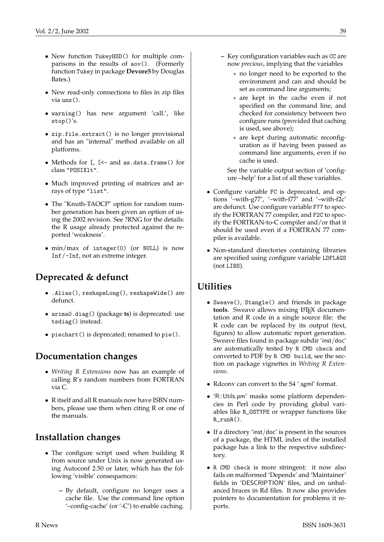- New function TukeyHSD() for multiple comparisons in the results of aov(). (Formerly function Tukey in package **Devore5** by Douglas Bates.)
- New read-only connections to files in zip files via unz().
- warning() has new argument 'call.', like stop()'s.
- zip.file.extract() is no longer provisional and has an "internal" method available on all platforms.
- Methods for [, [<- and as.data.frame() for class "POSIXlt".
- Much improved printing of matrices and arrays of type "list".
- The "Knuth-TAOCP" option for random number generation has been given an option of using the 2002 revision. See ?RNG for the details: the R usage already protected against the reported 'weakness'.
- min/max of integer(0) (or NULL) is now Inf/-Inf, not an extreme integer.

# **Deprecated & defunct**

- .Alias(), reshapeLong(), reshapeWide() are defunct.
- arima0.diag() (package **ts**) is deprecated: use tsdiag() instead.
- piechart() is deprecated; renamed to pie().

# **Documentation changes**

- *Writing R Extensions* now has an example of calling R's random numbers from FORTRAN via C.
- R itself and all R manuals now have ISBN numbers, please use them when citing R or one of the manuals.

# **Installation changes**

- The configure script used when building R from source under Unix is now generated using Autoconf 2.50 or later, which has the following 'visible' consequences:
	- **–** By default, configure no longer uses a cache file. Use the command line option '–config-cache' (or '-C') to enable caching.
- **–** Key configuration variables such as CC are now *precious*, implying that the variables
	- ∗ no longer need to be exported to the environment and can and should be set as command line arguments;
	- ∗ are kept in the cache even if not specified on the command line, and checked for consistency between two configure runs (provided that caching is used, see above);
	- ∗ are kept during automatic reconfiguration as if having been passed as command line arguments, even if no cache is used.

See the variable output section of 'configure –help' for a list of all these variables.

- Configure variable FC is deprecated, and options '–with-g77', '–with-f77' and '–with-f2c' are defunct. Use configure variable F77 to specify the FORTRAN 77 compiler, and F2C to specify the FORTRAN-to-C compiler and/or that it should be used even if a FORTRAN 77 compiler is available.
- Non-standard directories containing libraries are specified using configure variable LDFLAGS (not LIBS).

# **Utilities**

- Sweave(), Stangle() and friends in package **tools**. Sweave allows mixing LATEX documentation and R code in a single source file: the R code can be replaced by its output (text, figures) to allow automatic report generation. Sweave files found in package subdir 'inst/doc' are automatically tested by R CMD check and converted to PDF by R CMD build, see the section on package vignettes in *Writing R Extensions*.
- Rdconv can convert to the S4 '.sgml' format.
- 'R::Utils.pm' masks some platform dependencies in Perl code by providing global variables like R\_OSTYPE or wrapper functions like  $R_$ run $R()$ .
- If a directory 'inst/doc' is present in the sources of a package, the HTML index of the installed package has a link to the respective subdirectory.
- R CMD check is more stringent: it now also fails on malformed 'Depends' and 'Maintainer' fields in 'DESCRIPTION' files, and on unbalanced braces in Rd files. It now also provides pointers to documentation for problems it reports.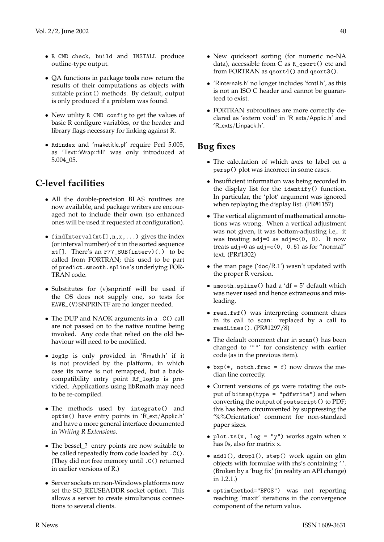- R CMD check, build and INSTALL produce outline-type output.
- QA functions in package **tools** now return the results of their computations as objects with suitable print() methods. By default, output is only produced if a problem was found.
- New utility R CMD config to get the values of basic R configure variables, or the header and library flags necessary for linking against R.
- Rdindex and 'maketitle.pl' require Perl 5.005, as 'Text::Wrap::fill' was only introduced at 5.004\_05.

# **C-level facilities**

- All the double-precision BLAS routines are now available, and package writers are encouraged not to include their own (so enhanced ones will be used if requested at configuration).
- findInterval( $xt[]$ ,  $n, x, ...$ ) gives the index (or interval number) of x in the sorted sequence  $xt[]$ . There's an F77\_SUB(interv)(.) to be called from FORTRAN; this used to be part of predict.smooth.spline's underlying FOR-TRAN code.
- Substitutes for (v)snprintf will be used if the OS does not supply one, so tests for HAVE\_(V)SNPRINTF are no longer needed.
- The DUP and NAOK arguments in a .C() call are not passed on to the native routine being invoked. Any code that relied on the old behaviour will need to be modified.
- log1p is only provided in 'Rmath.h' if it is not provided by the platform, in which case its name is not remapped, but a backcompatibility entry point Rf\_log1p is provided. Applications using libRmath may need to be re-compiled.
- The methods used by integrate() and optim() have entry points in 'R ext/Applic.h' and have a more general interface documented in *Writing R Extensions*.
- The bessel\_? entry points are now suitable to be called repeatedly from code loaded by .C(). (They did not free memory until .C() returned in earlier versions of R.)
- Server sockets on non-Windows platforms now set the SO\_REUSEADDR socket option. This allows a server to create simultanous connections to several clients.
- New quicksort sorting (for numeric no-NA data), accessible from C as R\_qsort() etc and from FORTRAN as qsort4() and qsort3().
- 'Rinternals.h' no longer includes 'fcntl.h', as this is not an ISO C header and cannot be guaranteed to exist.
- FORTRAN subroutines are more correctly declared as 'extern void' in 'R exts/Applic.h' and 'R\_exts/Linpack.h'.

## **Bug fixes**

- The calculation of which axes to label on a persp() plot was incorrect in some cases.
- Insufficient information was being recorded in the display list for the identify() function. In particular, the 'plot' argument was ignored when replaying the display list. (PR#1157)
- The vertical alignment of mathematical annotations was wrong. When a vertical adjustment was not given, it was bottom-adjusting i.e,. it was treating  $adj=0$  as  $adj=c(0, 0)$ . It now treats adj=0 as  $adj=c(0, 0.5)$  as for "normal" text. (PR#1302)
- the man page ('doc/R.1') wasn't updated with the proper R version.
- smooth.spline() had a 'df =  $5'$  default which was never used and hence extraneous and misleading.
- read.fwf() was interpreting comment chars in its call to scan: replaced by a call to readLines(). (PR#1297/8)
- The default comment char in scan() has been changed to '""' for consistency with earlier code (as in the previous item).
- $bxp(*, notch.frac = f)$  now draws the median line correctly.
- Current versions of gs were rotating the output of bitmap(type = "pdfwrite") and when converting the output of postscript() to PDF; this has been circumvented by suppressing the '%%Orientation' comment for non-standard paper sizes.
- plot.ts(x, log = "y") works again when  $x$ has 0s, also for matrix x.
- add1(), drop1(), step() work again on glm objects with formulae with rhs's containing '.'. (Broken by a 'bug fix' (in reality an API change) in 1.2.1.)
- optim(method="BFGS") was not reporting reaching 'maxit' iterations in the convergence component of the return value.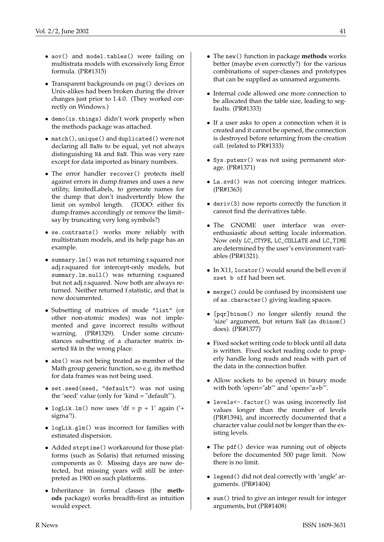- aov() and model.tables() were failing on multistrata models with excessively long Error formula. (PR#1315)
- Transparent backgrounds on png() devices on Unix-alikes had been broken during the driver changes just prior to 1.4.0. (They worked correctly on Windows.)
- demo(is.things) didn't work properly when the methods package was attached.
- match(), unique() and duplicated() were not declaring all NaNs to be equal, yet not always distinguishing NA and NaN. This was very rare except for data imported as binary numbers.
- The error handler recover() protects itself against errors in dump.frames and uses a new utility, limitedLabels, to generate names for the dump that don't inadvertently blow the limit on symbol length. (TODO: either fix dump.frames accordingly or remove the limit– say by truncating very long symbols?)
- se.contrasts() works more reliably with multistratum models, and its help page has an example.
- summary.lm() was not returning r.squared nor adj.r.squared for intercept-only models, but summary.lm.null() was returning r.squared but not adj.r.squared. Now both are always returned. Neither returned f.statistic, and that is now documented.
- Subsetting of matrices of mode "list" (or other non-atomic modes) was not implemented and gave incorrect results without warning. (PR#1329). Under some circumstances subsetting of a character matrix inserted NA in the wrong place.
- abs () was not being treated as member of the Math group generic function, so e.g. its method for data frames was not being used.
- set.seed(seed, "default") was not using the 'seed' value (only for 'kind = "default"').
- logLik.lm() now uses 'df =  $p + 1'$  again ('+ sigma'!).
- logLik.glm() was incorrect for families with estimated dispersion.
- Added strptime() workaround for those platforms (such as Solaris) that returned missing components as 0. Missing days are now detected, but missing years will still be interpreted as 1900 on such platforms.
- Inheritance in formal classes (the **methods** package) works breadth-first as intuition would expect.
- The new() function in package **methods** works better (maybe even correctly?) for the various combinations of super-classes and prototypes that can be supplied as unnamed arguments.
- Internal code allowed one more connection to be allocated than the table size, leading to segfaults. (PR#1333)
- If a user asks to open a connection when it is created and it cannot be opened, the connection is destroyed before returning from the creation call. (related to PR#1333)
- Sys.putenv() was not using permanent storage. (PR#1371)
- La.svd() was not coercing integer matrices. (PR#1363)
- deriv(3) now reports correctly the function it cannot find the derivatives table.
- The GNOME user interface was overenthusiastic about setting locale information. Now only LC\_CTYPE, LC\_COLLATE and LC\_TIME are determined by the user's environment variables (PR#1321).
- In X11, locator() would sound the bell even if xset b off had been set.
- merge() could be confused by inconsistent use of as.character() giving leading spaces.
- [pqr]binom() no longer silently round the 'size' argument, but return NaN (as dbinom() does). (PR#1377)
- Fixed socket writing code to block until all data is written. Fixed socket reading code to properly handle long reads and reads with part of the data in the connection buffer.
- Allow sockets to be opened in binary mode with both 'open="ab"' and 'open="a+b"'.
- levels<-.factor() was using incorrectly list values longer than the number of levels (PR#1394), and incorrectly documented that a character value could not be longer than the existing levels.
- The pdf() device was running out of objects before the documented 500 page limit. Now there is no limit.
- legend() did not deal correctly with 'angle' arguments. (PR#1404)
- sum() tried to give an integer result for integer arguments, but (PR#1408)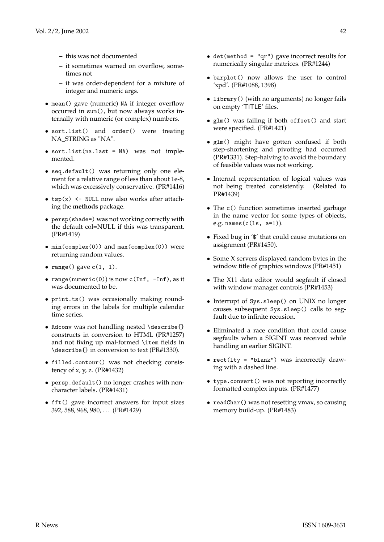- **–** this was not documented
- **–** it sometimes warned on overflow, sometimes not
- **–** it was order-dependent for a mixture of integer and numeric args.
- mean() gave (numeric) NA if integer overflow occurred in sum(), but now always works internally with numeric (or complex) numbers.
- sort.list() and order() were treating NA\_STRING as "NA".
- sort.list(na.last = NA) was not implemented.
- seq.default() was returning only one element for a relative range of less than about 1e-8, which was excessively conservative. (PR#1416)
- $tsp(x)$  <- NULL now also works after attaching the **methods** package.
- persp(shade=) was not working correctly with the default col=NULL if this was transparent. (PR#1419)
- min(complex(0)) and max(complex(0)) were returning random values.
- range() gave  $c(1, 1)$ .
- range(numeric(0)) is now  $c(Inf, -Inf)$ , as it was documented to be.
- print.ts() was occasionally making rounding errors in the labels for multiple calendar time series.
- Rdconv was not handling nested \describe{} constructs in conversion to HTML (PR#1257) and not fixing up mal-formed \item fields in \describe{} in conversion to text (PR#1330).
- filled.contour() was not checking consistency of x, y, z. (PR#1432)
- persp.default() no longer crashes with noncharacter labels. (PR#1431)
- fft() gave incorrect answers for input sizes 392, 588, 968, 980, . . . (PR#1429)
- det(method = "qr") gave incorrect results for numerically singular matrices. (PR#1244)
- barplot() now allows the user to control 'xpd'. (PR#1088, 1398)
- library() (with no arguments) no longer fails on empty 'TITLE' files.
- glm() was failing if both offset() and start were specified. (PR#1421)
- glm() might have gotten confused if both step-shortening and pivoting had occurred (PR#1331). Step-halving to avoid the boundary of feasible values was not working.
- Internal representation of logical values was not being treated consistently. (Related to PR#1439)
- The c() function sometimes inserted garbage in the name vector for some types of objects, e.g. names $(c(1s, a=1))$ .
- Fixed bug in '\$' that could cause mutations on assignment (PR#1450).
- Some X servers displayed random bytes in the window title of graphics windows (PR#1451)
- The X11 data editor would segfault if closed with window manager controls (PR#1453)
- Interrupt of Sys.sleep() on UNIX no longer causes subsequent Sys.sleep() calls to segfault due to infinite recusion.
- Eliminated a race condition that could cause segfaults when a SIGINT was received while handling an earlier SIGINT.
- rect(lty = "blank") was incorrectly drawing with a dashed line.
- type.convert() was not reporting incorrectly formatted complex inputs. (PR#1477)
- readChar() was not resetting vmax, so causing memory build-up. (PR#1483)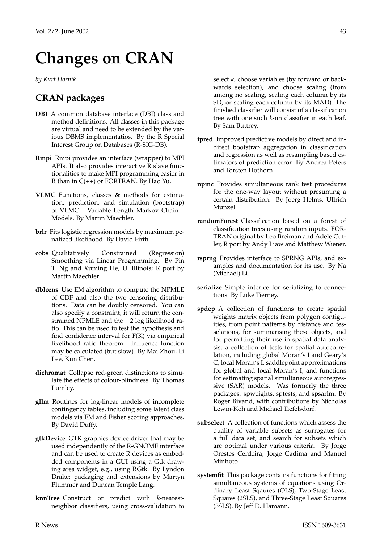# **Changes on CRAN**

<span id="page-42-0"></span>*by Kurt Hornik*

# **CRAN packages**

- **DBI** A common database interface (DBI) class and method definitions. All classes in this package are virtual and need to be extended by the various DBMS implementatios. By the R Special Interest Group on Databases (R-SIG-DB).
- **Rmpi** Rmpi provides an interface (wrapper) to MPI APIs. It also provides interactive R slave functionalities to make MPI programming easier in R than in  $C(+)$  or FORTRAN. By Hao Yu.
- **VLMC** Functions, classes & methods for estimation, prediction, and simulation (bootstrap) of VLMC – Variable Length Markov Chain – Models. By Martin Maechler.
- **brlr** Fits logistic regression models by maximum penalized likelihood. By David Firth.
- **cobs** Qualitatively Constrained (Regression) Smoothing via Linear Programming. By Pin T. Ng and Xuming He, U. Illinois; R port by Martin Maechler.
- **dblcens** Use EM algorithm to compute the NPMLE of CDF and also the two censoring distributions. Data can be doubly censored. You can also specify a constraint, it will return the constrained NPMLE and the −2 log likelihood ratio. This can be used to test the hypothesis and find confidence interval for  $F(K)$  via empirical likelihood ratio theorem. Influence function may be calculated (but slow). By Mai Zhou, Li Lee, Kun Chen.
- **dichromat** Collapse red-green distinctions to simulate the effects of colour-blindness. By Thomas Lumley.
- **gllm** Routines for log-linear models of incomplete contingency tables, including some latent class models via EM and Fisher scoring approaches. By David Duffy.
- **gtkDevice** GTK graphics device driver that may be used independently of the R-GNOME interface and can be used to create R devices as embedded components in a GUI using a Gtk drawing area widget, e.g., using RGtk. By Lyndon Drake; packaging and extensions by Martyn Plummer and Duncan Temple Lang.
- **knnTree** Construct or predict with *k*-nearestneighbor classifiers, using cross-validation to

select *k*, choose variables (by forward or backwards selection), and choose scaling (from among no scaling, scaling each column by its SD, or scaling each column by its MAD). The finished classifier will consist of a classification tree with one such *k*-nn classifier in each leaf. By Sam Buttrey.

- **ipred** Improved predictive models by direct and indirect bootstrap aggregation in classification and regression as well as resampling based estimators of prediction error. By Andrea Peters and Torsten Hothorn.
- **npmc** Provides simultaneous rank test procedures for the one-way layout without presuming a certain distribution. By Joerg Helms, Ullrich Munzel.
- **randomForest** Classification based on a forest of classification trees using random inputs. FOR-TRAN original by Leo Breiman and Adele Cutler, R port by Andy Liaw and Matthew Wiener.
- **rsprng** Provides interface to SPRNG APIs, and examples and documentation for its use. By Na (Michael) Li.
- **serialize** Simple interfce for serializing to connections. By Luke Tierney.
- **spdep** A collection of functions to create spatial weights matrix objects from polygon contiguities, from point patterns by distance and tesselations, for summarising these objects, and for permitting their use in spatial data analysis; a collection of tests for spatial autocorrelation, including global Moran's I and Geary's C, local Moran's I, saddlepoint approximations for global and local Moran's I; and functions for estimating spatial simultaneous autoregressive (SAR) models. Was formerly the three packages: spweights, sptests, and spsarlm. By Roger Bivand, with contributions by Nicholas Lewin-Koh and Michael Tiefelsdorf.
- **subselect** A collection of functions which assess the quality of variable subsets as surrogates for a full data set, and search for subsets which are optimal under various criteria. By Jorge Orestes Cerdeira, Jorge Cadima and Manuel Minhoto.
- **systemfit** This package contains functions for fitting simultaneous systems of equations using Ordinary Least Sqaures (OLS), Two-Stage Least Squares (2SLS), and Three-Stage Least Squares (3SLS). By Jeff D. Hamann.